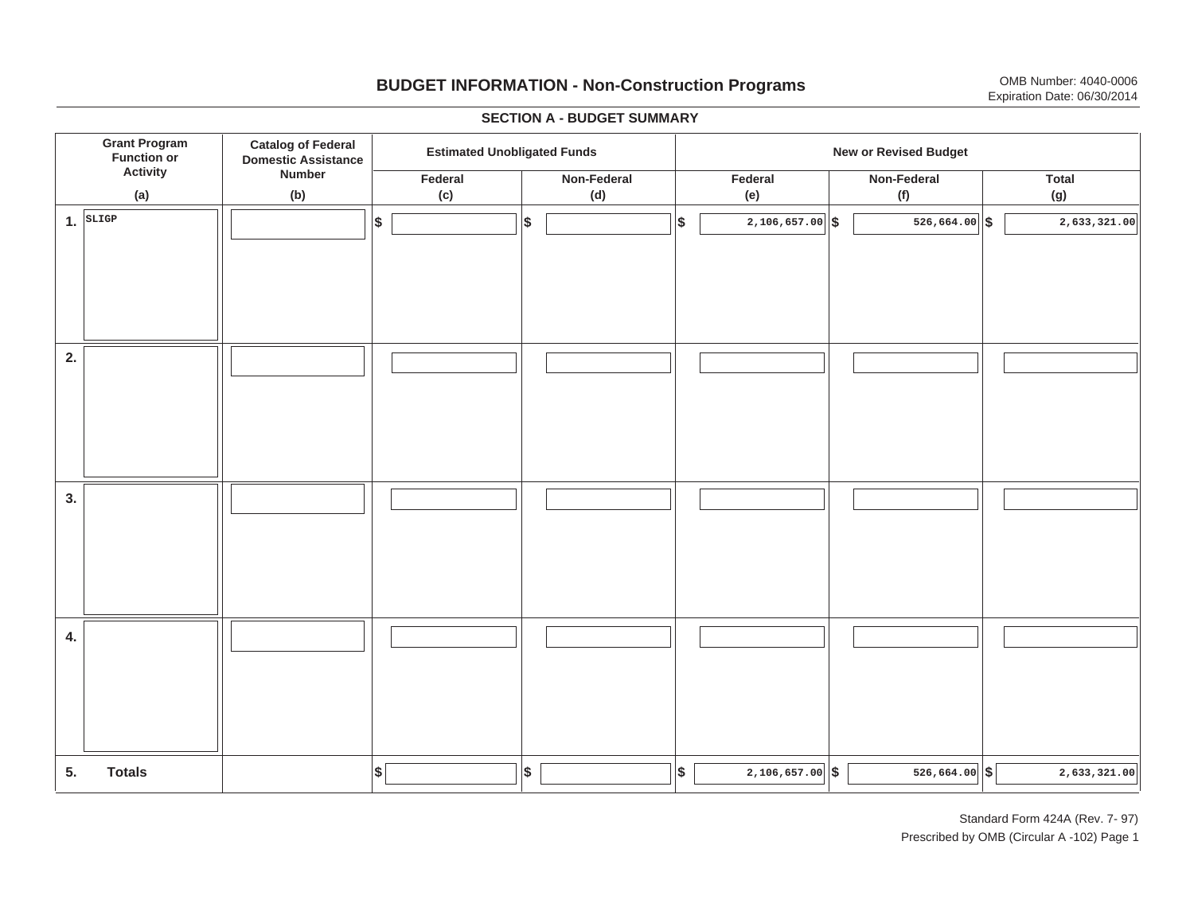# **BUDGET INFORMATION - Non-Construction Programs** OMB Number: 4040-0006 Expiration Date: 06/30/2014

**\$ Grant Program Function or Activity (a) Catalog of Federal Domestic Assistance Number (b) Estimated Unobligated Funds New or Revised Budget Federal(c) Non-Federal(d) Federal(e) Non-Federal (f) Total(g) 5. Totals4. 3. 2. 1.SLIGP \$\$\$\$ \$ \$ \$ \$ \$ 2,106,657.00 526,664.00 2,633,321.00** I I I I I I I I I **2,106,657.00 526,664.00 2,633,321.00**  $\frac{1}{10}$   $\frac{1}{10}$   $\frac{1}{10}$   $\frac{1}{10}$   $\frac{1}{10}$   $\frac{1}{10}$   $\frac{1}{10}$   $\frac{1}{10}$   $\frac{1}{10}$   $\frac{1}{10}$   $\frac{1}{10}$   $\frac{1}{10}$   $\frac{1}{10}$   $\frac{1}{10}$   $\frac{1}{10}$   $\frac{1}{10}$   $\frac{1}{10}$   $\frac{1}{10}$   $\frac{1}{10}$   $\frac{1}{10}$  I I I I I I I I I I I I I I I I I I I I I I I I I I I I I I I I I

#### **SECTION A - BUDGET SUMMARY**

Standard Form 424A (Rev. 7- 97) Prescribed by OMB (Circular A -102) Page 1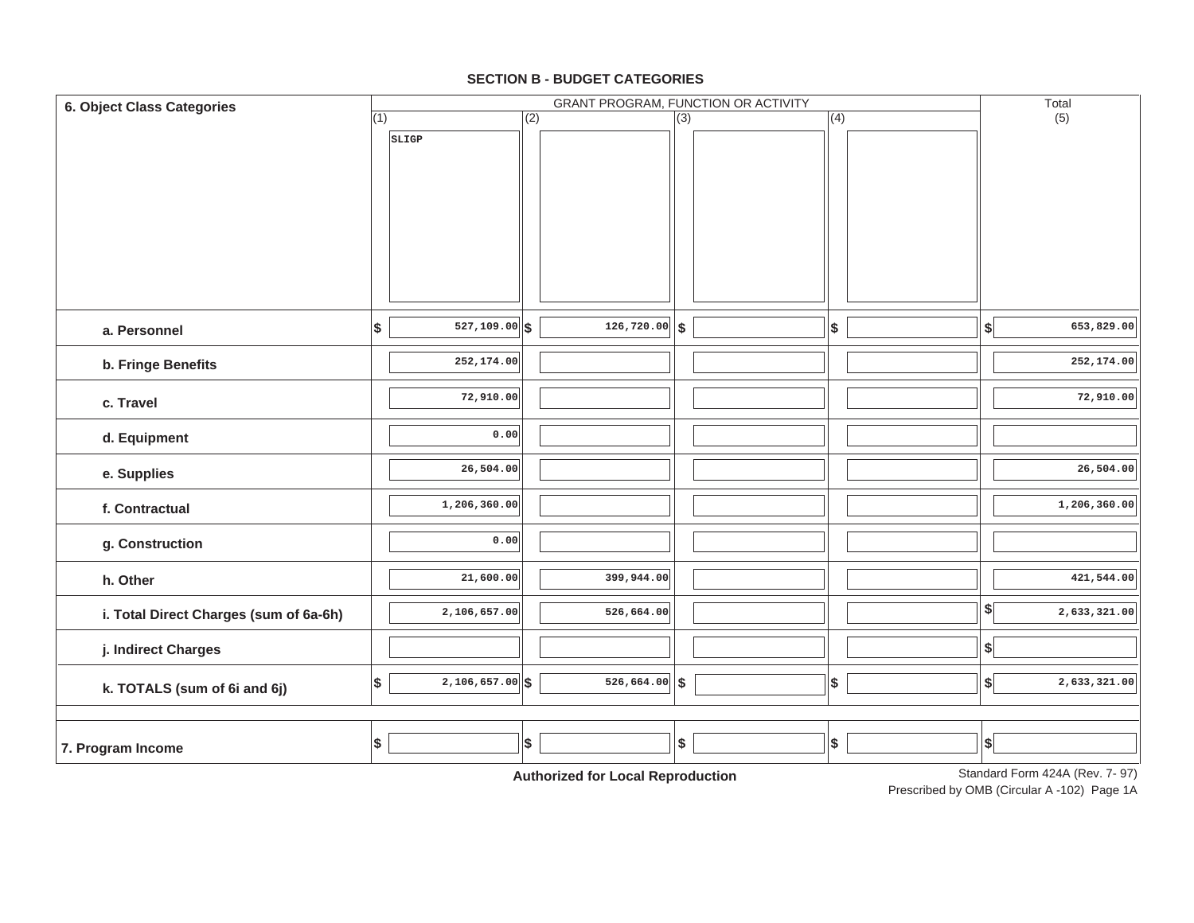#### **SECTION B - BUDGET CATEGORIES**

| 6. Object Class Categories             |     |                   |     | GRANT PROGRAM, FUNCTION OR ACTIVITY         |                  |                           |                           | Total                           |
|----------------------------------------|-----|-------------------|-----|---------------------------------------------|------------------|---------------------------|---------------------------|---------------------------------|
|                                        | (1) |                   | (2) |                                             | $\overline{(3)}$ | (4)                       |                           | (5)                             |
|                                        |     | SLIGP             |     |                                             |                  |                           |                           |                                 |
| a. Personnel                           | \$  | $527, 109.00$ \$  |     | $\overline{126,720.00}$ \$                  |                  | $\sqrt{2}$                | $\boldsymbol{\mathsf{s}}$ | 653,829.00                      |
| b. Fringe Benefits                     |     | 252,174.00        |     |                                             |                  |                           |                           | 252,174.00                      |
| c. Travel                              |     | 72,910.00         |     |                                             |                  |                           |                           | 72,910.00                       |
| d. Equipment                           |     | 0.00              |     |                                             |                  |                           |                           |                                 |
| e. Supplies                            |     | 26,504.00         |     |                                             |                  |                           |                           | 26,504.00                       |
| f. Contractual                         |     | 1,206,360.00      |     |                                             |                  |                           |                           | 1,206,360.00                    |
| g. Construction                        |     | 0.00              |     |                                             |                  |                           |                           |                                 |
| h. Other                               |     | 21,600.00         |     | 399,944.00                                  |                  |                           |                           | 421,544.00                      |
| i. Total Direct Charges (sum of 6a-6h) |     | 2,106,657.00      |     | 526,664.00                                  |                  |                           | $\frac{1}{2}$             | 2,633,321.00                    |
| j. Indirect Charges                    |     |                   |     |                                             |                  |                           | \$                        |                                 |
| k. TOTALS (sum of 6i and 6j)           | \$  | $2,106,657.00$ \$ |     | $526,664.00$ \$                             |                  | $\boldsymbol{\mathsf{s}}$ | $\boldsymbol{\mathsf{s}}$ | 2,633,321.00                    |
| 7. Program Income                      | \$  |                   | \$  | Antibodina di Capiti a sali Diamaggioration | \$               | $\pmb{\$}$                | $\boldsymbol{\$}$         | Standard Form 4244 (Rev. 7, 97) |

**Authorized for Local Reproduction**

Prescribed by OMB (Circular A -102) Page 1A Standard Form 424A (Rev. 7- 97)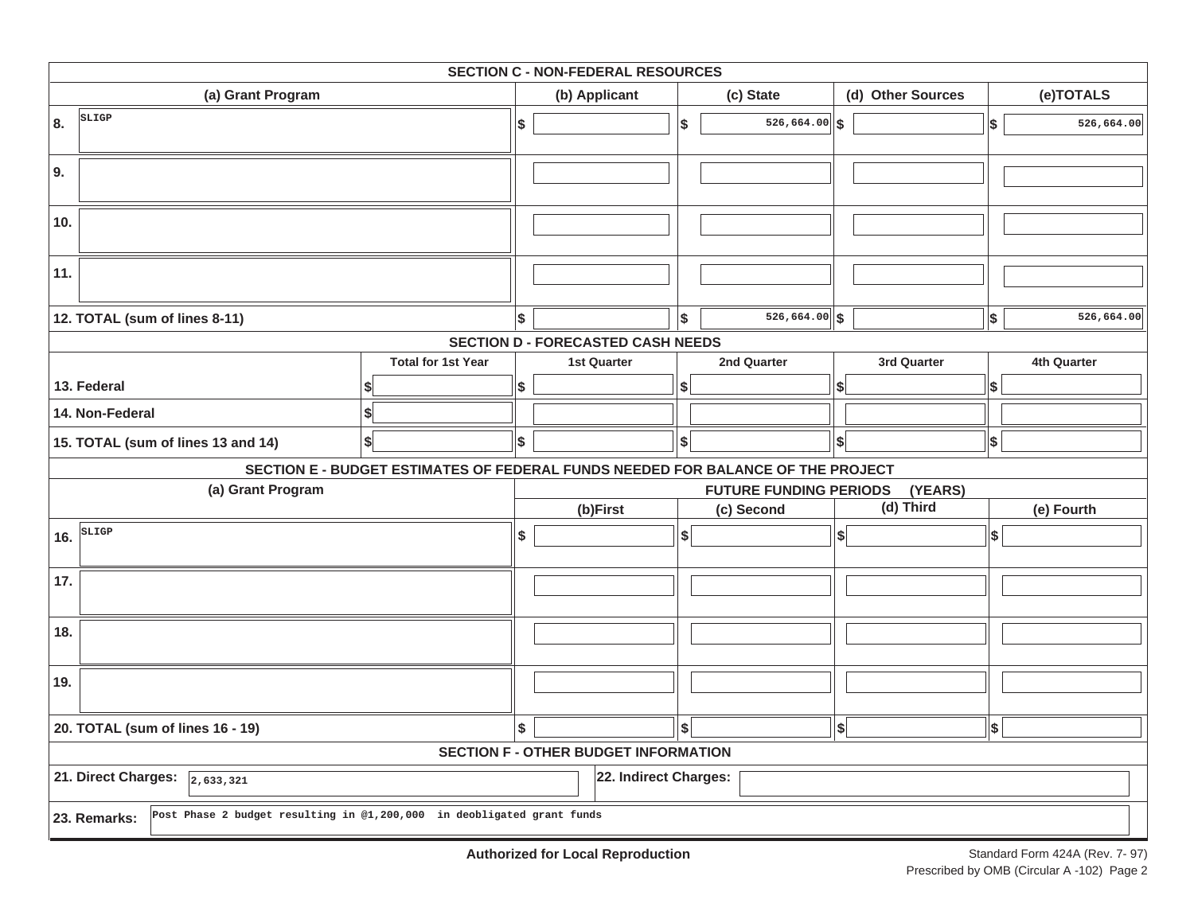|                                                                                        |                                                                                 |    | <b>SECTION C - NON-FEDERAL RESOURCES</b>    |     |                               |                             |                           |             |
|----------------------------------------------------------------------------------------|---------------------------------------------------------------------------------|----|---------------------------------------------|-----|-------------------------------|-----------------------------|---------------------------|-------------|
| (a) Grant Program                                                                      |                                                                                 |    | (b) Applicant                               |     | (c) State                     | (d) Other Sources           |                           | (e)TOTALS   |
| SLIGP<br>8.                                                                            |                                                                                 | \$ |                                             | \$  | $\overline{526,664.00}$ \$    |                             | \$                        | 526,664.00  |
| 9.                                                                                     |                                                                                 |    |                                             |     |                               |                             |                           |             |
| 10.                                                                                    |                                                                                 |    |                                             |     |                               |                             |                           |             |
| 11.                                                                                    |                                                                                 |    |                                             |     |                               |                             |                           |             |
| 12. TOTAL (sum of lines 8-11)                                                          |                                                                                 | S. |                                             | l\$ | $526,664.00$ \$               |                             | $\boldsymbol{\mathsf{s}}$ | 526,664.00  |
|                                                                                        |                                                                                 |    | <b>SECTION D - FORECASTED CASH NEEDS</b>    |     |                               |                             |                           |             |
|                                                                                        | <b>Total for 1st Year</b>                                                       |    | <b>1st Quarter</b>                          |     | 2nd Quarter                   | 3rd Quarter                 |                           | 4th Quarter |
| 13. Federal                                                                            |                                                                                 | \$ |                                             | \$  |                               | \$                          | \$                        |             |
| 14. Non-Federal                                                                        | \$                                                                              |    |                                             |     |                               |                             |                           |             |
| 15. TOTAL (sum of lines 13 and 14)                                                     | \$                                                                              | \$ |                                             | \$  |                               | $\left  \mathbf{s} \right $ | \$                        |             |
|                                                                                        | SECTION E - BUDGET ESTIMATES OF FEDERAL FUNDS NEEDED FOR BALANCE OF THE PROJECT |    |                                             |     |                               |                             |                           |             |
| (a) Grant Program                                                                      |                                                                                 |    |                                             |     | <b>FUTURE FUNDING PERIODS</b> | (YEARS)                     |                           |             |
|                                                                                        |                                                                                 |    | (b)First                                    |     | (c) Second                    | (d) Third                   |                           | (e) Fourth  |
| SLIGP<br>16.                                                                           |                                                                                 | \$ |                                             | s   |                               | $\left  \right $            | \$                        |             |
| 17.                                                                                    |                                                                                 |    |                                             |     |                               |                             |                           |             |
| 18.                                                                                    |                                                                                 |    |                                             |     |                               |                             |                           |             |
| 19.                                                                                    |                                                                                 |    |                                             |     |                               |                             |                           |             |
| 20. TOTAL (sum of lines 16 - 19)                                                       |                                                                                 | \$ |                                             | \$  |                               | $\boldsymbol{\mathsf{S}}$   | \$                        |             |
|                                                                                        |                                                                                 |    | <b>SECTION F - OTHER BUDGET INFORMATION</b> |     |                               |                             |                           |             |
| 21. Direct Charges:<br>2,633,321                                                       |                                                                                 |    | 22. Indirect Charges:                       |     |                               |                             |                           |             |
| Post Phase 2 budget resulting in @1,200,000 in deobligated grant funds<br>23. Remarks: |                                                                                 |    |                                             |     |                               |                             |                           |             |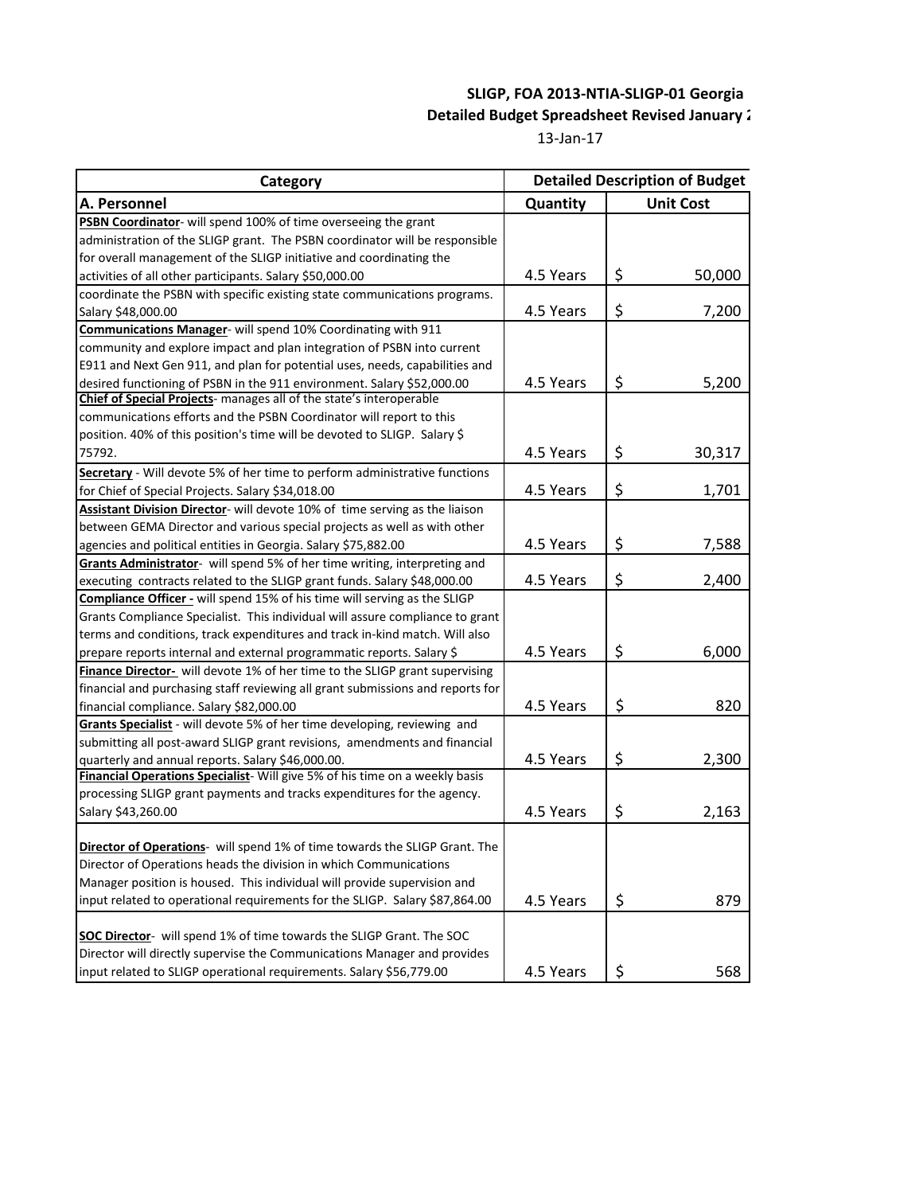# **SLIGP, FOA 2013-NTIA-SLIGP-01 Georgia Detailed Budget Spreadsheet Revised January 2**

13-Jan-17

| Category                                                                          | <b>Detailed Description of Budget</b> |                  |  |  |  |  |
|-----------------------------------------------------------------------------------|---------------------------------------|------------------|--|--|--|--|
| A. Personnel                                                                      | Quantity                              | <b>Unit Cost</b> |  |  |  |  |
| PSBN Coordinator- will spend 100% of time overseeing the grant                    |                                       |                  |  |  |  |  |
| administration of the SLIGP grant. The PSBN coordinator will be responsible       |                                       |                  |  |  |  |  |
| for overall management of the SLIGP initiative and coordinating the               |                                       |                  |  |  |  |  |
| activities of all other participants. Salary \$50,000.00                          | 4.5 Years                             | \$<br>50,000     |  |  |  |  |
| coordinate the PSBN with specific existing state communications programs.         |                                       |                  |  |  |  |  |
| Salary \$48,000.00                                                                | 4.5 Years                             | \$<br>7,200      |  |  |  |  |
| Communications Manager- will spend 10% Coordinating with 911                      |                                       |                  |  |  |  |  |
| community and explore impact and plan integration of PSBN into current            |                                       |                  |  |  |  |  |
| E911 and Next Gen 911, and plan for potential uses, needs, capabilities and       |                                       |                  |  |  |  |  |
| desired functioning of PSBN in the 911 environment. Salary \$52,000.00            | 4.5 Years                             | \$<br>5,200      |  |  |  |  |
| Chief of Special Projects- manages all of the state's interoperable               |                                       |                  |  |  |  |  |
| communications efforts and the PSBN Coordinator will report to this               |                                       |                  |  |  |  |  |
| position. 40% of this position's time will be devoted to SLIGP. Salary \$         |                                       |                  |  |  |  |  |
| 75792.                                                                            | 4.5 Years                             | \$<br>30,317     |  |  |  |  |
| Secretary - Will devote 5% of her time to perform administrative functions        |                                       |                  |  |  |  |  |
| for Chief of Special Projects. Salary \$34,018.00                                 | 4.5 Years                             | \$<br>1,701      |  |  |  |  |
| Assistant Division Director- will devote 10% of time serving as the liaison       |                                       |                  |  |  |  |  |
| between GEMA Director and various special projects as well as with other          |                                       |                  |  |  |  |  |
| agencies and political entities in Georgia. Salary \$75,882.00                    | 4.5 Years                             | \$<br>7,588      |  |  |  |  |
| Grants Administrator- will spend 5% of her time writing, interpreting and         |                                       |                  |  |  |  |  |
| executing contracts related to the SLIGP grant funds. Salary \$48,000.00          | 4.5 Years                             | \$<br>2,400      |  |  |  |  |
| Compliance Officer - will spend 15% of his time will serving as the SLIGP         |                                       |                  |  |  |  |  |
| Grants Compliance Specialist. This individual will assure compliance to grant     |                                       |                  |  |  |  |  |
| terms and conditions, track expenditures and track in-kind match. Will also       |                                       |                  |  |  |  |  |
| prepare reports internal and external programmatic reports. Salary \$             | 4.5 Years                             | \$<br>6,000      |  |  |  |  |
| Finance Director- will devote 1% of her time to the SLIGP grant supervising       |                                       |                  |  |  |  |  |
| financial and purchasing staff reviewing all grant submissions and reports for    |                                       |                  |  |  |  |  |
| financial compliance. Salary \$82,000.00                                          | 4.5 Years                             | \$<br>820        |  |  |  |  |
| Grants Specialist - will devote 5% of her time developing, reviewing and          |                                       |                  |  |  |  |  |
| submitting all post-award SLIGP grant revisions, amendments and financial         |                                       |                  |  |  |  |  |
| quarterly and annual reports. Salary \$46,000.00.                                 | 4.5 Years                             | \$<br>2,300      |  |  |  |  |
| Financial Operations Specialist- Will give 5% of his time on a weekly basis       |                                       |                  |  |  |  |  |
| processing SLIGP grant payments and tracks expenditures for the agency.           |                                       |                  |  |  |  |  |
| Salary \$43,260.00                                                                | 4.5 Years                             | \$<br>2,163      |  |  |  |  |
|                                                                                   |                                       |                  |  |  |  |  |
| <b>Director of Operations-</b> will spend 1% of time towards the SLIGP Grant. The |                                       |                  |  |  |  |  |
| Director of Operations heads the division in which Communications                 |                                       |                  |  |  |  |  |
| Manager position is housed. This individual will provide supervision and          |                                       |                  |  |  |  |  |
| input related to operational requirements for the SLIGP. Salary \$87,864.00       | 4.5 Years                             | \$<br>879        |  |  |  |  |
|                                                                                   |                                       |                  |  |  |  |  |
| <b>SOC Director-</b> will spend 1% of time towards the SLIGP Grant. The SOC       |                                       |                  |  |  |  |  |
| Director will directly supervise the Communications Manager and provides          |                                       |                  |  |  |  |  |
| input related to SLIGP operational requirements. Salary \$56,779.00               | 4.5 Years                             | \$<br>568        |  |  |  |  |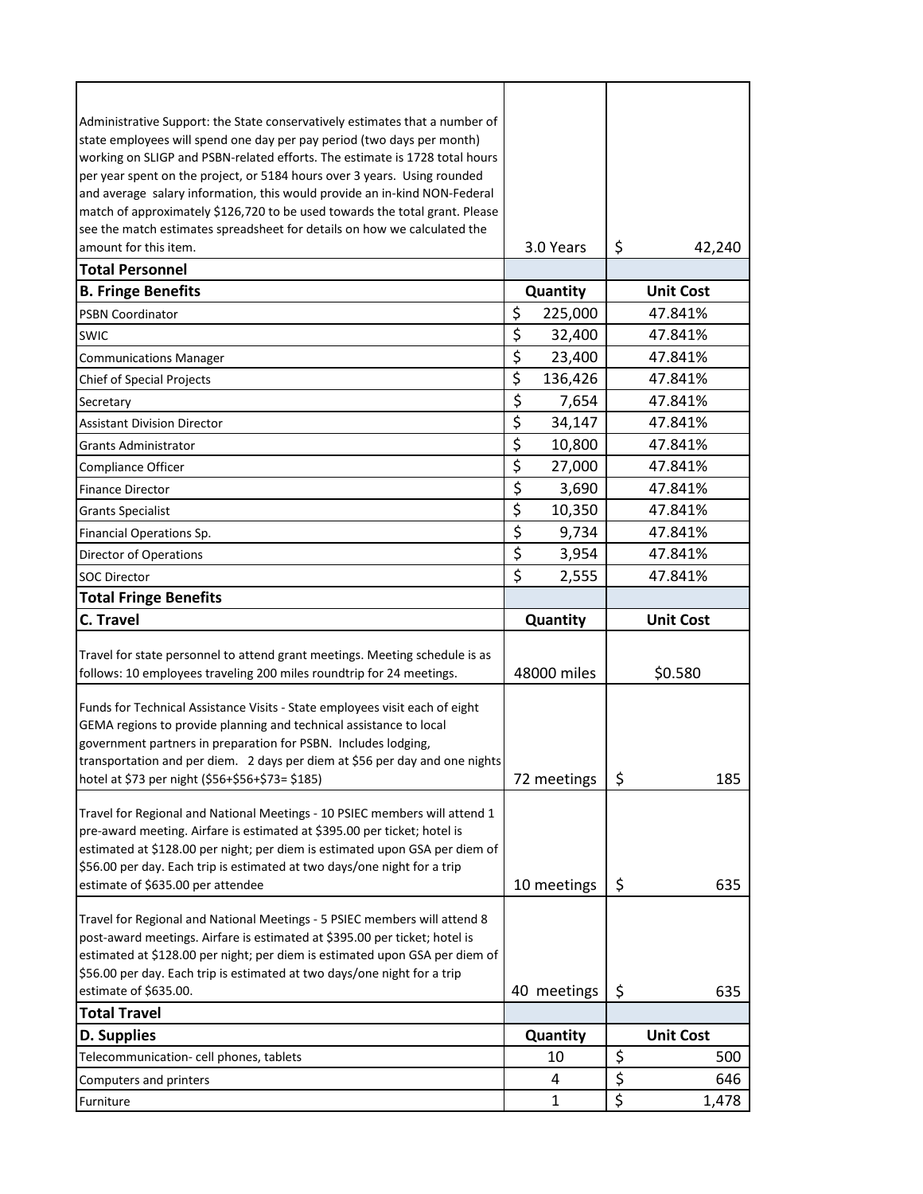| Administrative Support: the State conservatively estimates that a number of                                                                                                                                                           |                                 |             |                        |                  |     |
|---------------------------------------------------------------------------------------------------------------------------------------------------------------------------------------------------------------------------------------|---------------------------------|-------------|------------------------|------------------|-----|
| state employees will spend one day per pay period (two days per month)                                                                                                                                                                |                                 |             |                        |                  |     |
| working on SLIGP and PSBN-related efforts. The estimate is 1728 total hours                                                                                                                                                           |                                 |             |                        |                  |     |
| per year spent on the project, or 5184 hours over 3 years. Using rounded                                                                                                                                                              |                                 |             |                        |                  |     |
| and average salary information, this would provide an in-kind NON-Federal                                                                                                                                                             |                                 |             |                        |                  |     |
| match of approximately \$126,720 to be used towards the total grant. Please                                                                                                                                                           |                                 |             |                        |                  |     |
| see the match estimates spreadsheet for details on how we calculated the                                                                                                                                                              |                                 |             |                        |                  |     |
| amount for this item.                                                                                                                                                                                                                 |                                 | 3.0 Years   | \$                     | 42,240           |     |
| <b>Total Personnel</b>                                                                                                                                                                                                                |                                 |             |                        |                  |     |
| <b>B. Fringe Benefits</b>                                                                                                                                                                                                             |                                 | Quantity    |                        | <b>Unit Cost</b> |     |
| <b>PSBN Coordinator</b>                                                                                                                                                                                                               | \$                              | 225,000     |                        | 47.841%          |     |
| <b>SWIC</b>                                                                                                                                                                                                                           | \$                              | 32,400      |                        | 47.841%          |     |
| <b>Communications Manager</b>                                                                                                                                                                                                         | $\overline{\boldsymbol{\zeta}}$ | 23,400      |                        | 47.841%          |     |
| <b>Chief of Special Projects</b>                                                                                                                                                                                                      | \$                              | 136,426     |                        | 47.841%          |     |
| Secretary                                                                                                                                                                                                                             | $\overline{\xi}$                | 7,654       |                        | 47.841%          |     |
| <b>Assistant Division Director</b>                                                                                                                                                                                                    | $\overline{\xi}$                | 34,147      |                        | 47.841%          |     |
| <b>Grants Administrator</b>                                                                                                                                                                                                           | $\overline{\xi}$                | 10,800      |                        | 47.841%          |     |
| <b>Compliance Officer</b>                                                                                                                                                                                                             | $\overline{\xi}$                | 27,000      |                        | 47.841%          |     |
| <b>Finance Director</b>                                                                                                                                                                                                               | \$                              | 3,690       |                        | 47.841%          |     |
| <b>Grants Specialist</b>                                                                                                                                                                                                              | \$                              | 10,350      |                        | 47.841%          |     |
| Financial Operations Sp.                                                                                                                                                                                                              | \$                              | 9,734       |                        | 47.841%          |     |
| <b>Director of Operations</b>                                                                                                                                                                                                         | \$                              | 3,954       |                        | 47.841%          |     |
| <b>SOC Director</b>                                                                                                                                                                                                                   | \$                              | 2,555       |                        | 47.841%          |     |
| <b>Total Fringe Benefits</b>                                                                                                                                                                                                          |                                 |             |                        |                  |     |
|                                                                                                                                                                                                                                       |                                 |             |                        |                  |     |
| <b>C. Travel</b>                                                                                                                                                                                                                      |                                 | Quantity    |                        | <b>Unit Cost</b> |     |
|                                                                                                                                                                                                                                       |                                 |             |                        |                  |     |
| Travel for state personnel to attend grant meetings. Meeting schedule is as                                                                                                                                                           |                                 |             |                        |                  |     |
| follows: 10 employees traveling 200 miles roundtrip for 24 meetings.                                                                                                                                                                  |                                 | 48000 miles |                        | \$0.580          |     |
|                                                                                                                                                                                                                                       |                                 |             |                        |                  |     |
|                                                                                                                                                                                                                                       |                                 |             |                        |                  |     |
| GEMA regions to provide planning and technical assistance to local<br>government partners in preparation for PSBN. Includes lodging,                                                                                                  |                                 |             |                        |                  |     |
| Funds for Technical Assistance Visits - State employees visit each of eight<br>transportation and per diem. 2 days per diem at \$56 per day and one nights                                                                            |                                 |             |                        |                  |     |
| hotel at \$73 per night (\$56+\$56+\$73= \$185)                                                                                                                                                                                       |                                 | 72 meetings | \$                     |                  | 185 |
|                                                                                                                                                                                                                                       |                                 |             |                        |                  |     |
|                                                                                                                                                                                                                                       |                                 |             |                        |                  |     |
|                                                                                                                                                                                                                                       |                                 |             |                        |                  |     |
| Travel for Regional and National Meetings - 10 PSIEC members will attend 1<br>pre-award meeting. Airfare is estimated at \$395.00 per ticket; hotel is<br>estimated at \$128.00 per night; per diem is estimated upon GSA per diem of |                                 |             |                        |                  |     |
| \$56.00 per day. Each trip is estimated at two days/one night for a trip<br>estimate of \$635.00 per attendee                                                                                                                         |                                 |             |                        |                  | 635 |
|                                                                                                                                                                                                                                       |                                 | 10 meetings | \$                     |                  |     |
|                                                                                                                                                                                                                                       |                                 |             |                        |                  |     |
| Travel for Regional and National Meetings - 5 PSIEC members will attend 8<br>post-award meetings. Airfare is estimated at \$395.00 per ticket; hotel is                                                                               |                                 |             |                        |                  |     |
|                                                                                                                                                                                                                                       |                                 |             |                        |                  |     |
| estimated at \$128.00 per night; per diem is estimated upon GSA per diem of<br>\$56.00 per day. Each trip is estimated at two days/one night for a trip                                                                               |                                 |             |                        |                  |     |
| estimate of \$635.00.                                                                                                                                                                                                                 |                                 | 40 meetings | \$                     |                  | 635 |
| <b>Total Travel</b>                                                                                                                                                                                                                   |                                 |             |                        |                  |     |
| <b>D. Supplies</b>                                                                                                                                                                                                                    |                                 | Quantity    |                        | <b>Unit Cost</b> |     |
| Telecommunication- cell phones, tablets                                                                                                                                                                                               |                                 | 10          | \$                     |                  | 500 |
| Computers and printers<br>Furniture                                                                                                                                                                                                   |                                 | 4<br>1      | $\overline{\xi}$<br>\$ | 1,478            | 646 |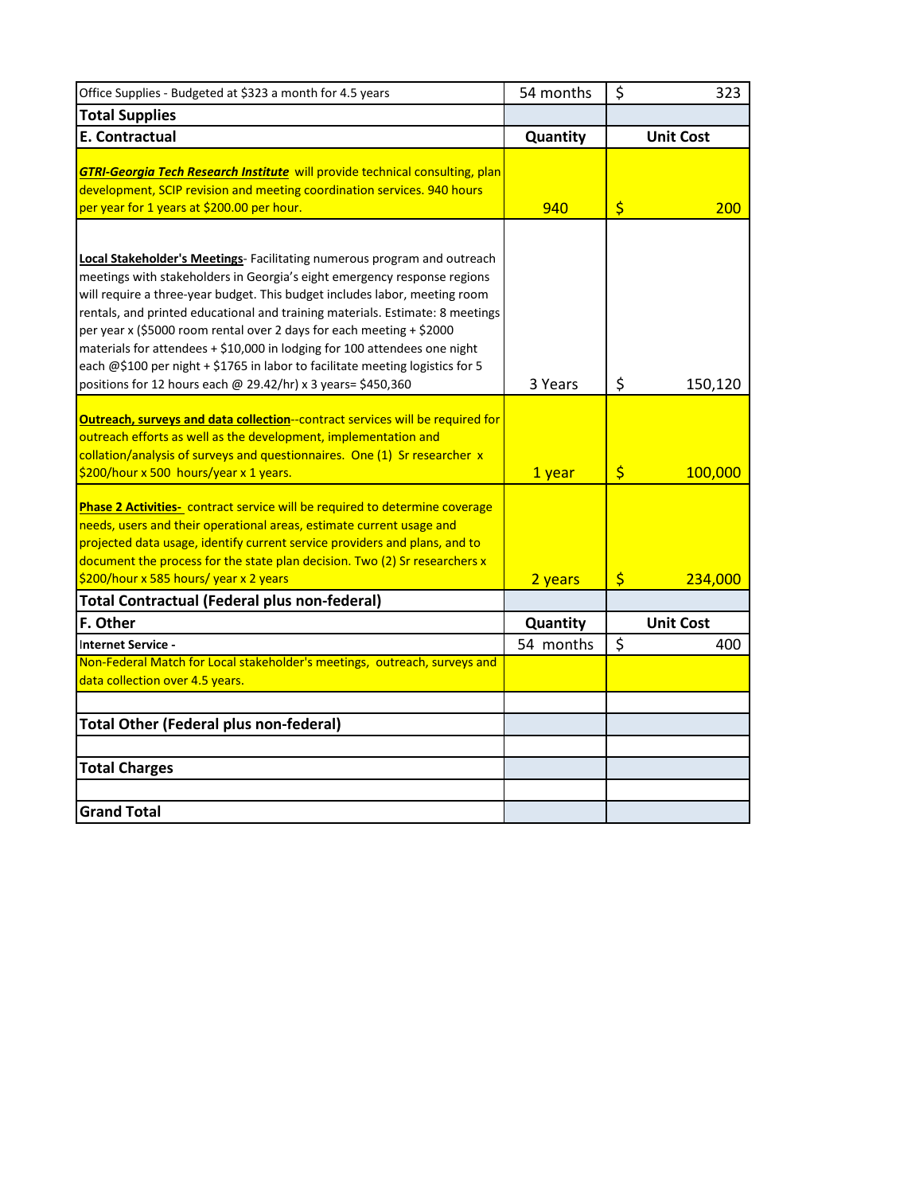| Office Supplies - Budgeted at \$323 a month for 4.5 years                           | 54 months | \$          | 323              |
|-------------------------------------------------------------------------------------|-----------|-------------|------------------|
| <b>Total Supplies</b>                                                               |           |             |                  |
| <b>E. Contractual</b>                                                               | Quantity  |             | <b>Unit Cost</b> |
|                                                                                     |           |             |                  |
| <b>GTRI-Georgia Tech Research Institute</b> will provide technical consulting, plan |           |             |                  |
| development, SCIP revision and meeting coordination services. 940 hours             |           |             |                  |
| per year for 1 years at \$200.00 per hour.                                          | 940       | \$          | 200              |
|                                                                                     |           |             |                  |
| <b>Local Stakeholder's Meetings</b> - Facilitating numerous program and outreach    |           |             |                  |
| meetings with stakeholders in Georgia's eight emergency response regions            |           |             |                  |
| will require a three-year budget. This budget includes labor, meeting room          |           |             |                  |
| rentals, and printed educational and training materials. Estimate: 8 meetings       |           |             |                  |
| per year x (\$5000 room rental over 2 days for each meeting + \$2000                |           |             |                  |
| materials for attendees + \$10,000 in lodging for 100 attendees one night           |           |             |                  |
| each @\$100 per night + \$1765 in labor to facilitate meeting logistics for 5       |           |             |                  |
| positions for 12 hours each @ 29.42/hr) x 3 years= \$450,360                        | 3 Years   | \$          | 150,120          |
|                                                                                     |           |             |                  |
| Outreach, surveys and data collection-contract services will be required for        |           |             |                  |
| outreach efforts as well as the development, implementation and                     |           |             |                  |
| collation/analysis of surveys and questionnaires. One (1) Sr researcher x           |           |             |                  |
| \$200/hour x 500 hours/year x 1 years.                                              | 1 year    | \$          | 100,000          |
| Phase 2 Activities- contract service will be required to determine coverage         |           |             |                  |
| needs, users and their operational areas, estimate current usage and                |           |             |                  |
| projected data usage, identify current service providers and plans, and to          |           |             |                  |
| document the process for the state plan decision. Two (2) Sr researchers x          |           |             |                  |
| \$200/hour x 585 hours/ year x 2 years                                              | 2 years   | $\varsigma$ | 234,000          |
| <b>Total Contractual (Federal plus non-federal)</b>                                 |           |             |                  |
| F. Other                                                                            | Quantity  |             | <b>Unit Cost</b> |
| Internet Service -                                                                  | 54 months | \$          | 400              |
| Non-Federal Match for Local stakeholder's meetings, outreach, surveys and           |           |             |                  |
| data collection over 4.5 years.                                                     |           |             |                  |
|                                                                                     |           |             |                  |
| <b>Total Other (Federal plus non-federal)</b>                                       |           |             |                  |
|                                                                                     |           |             |                  |
| <b>Total Charges</b>                                                                |           |             |                  |
|                                                                                     |           |             |                  |
| <b>Grand Total</b>                                                                  |           |             |                  |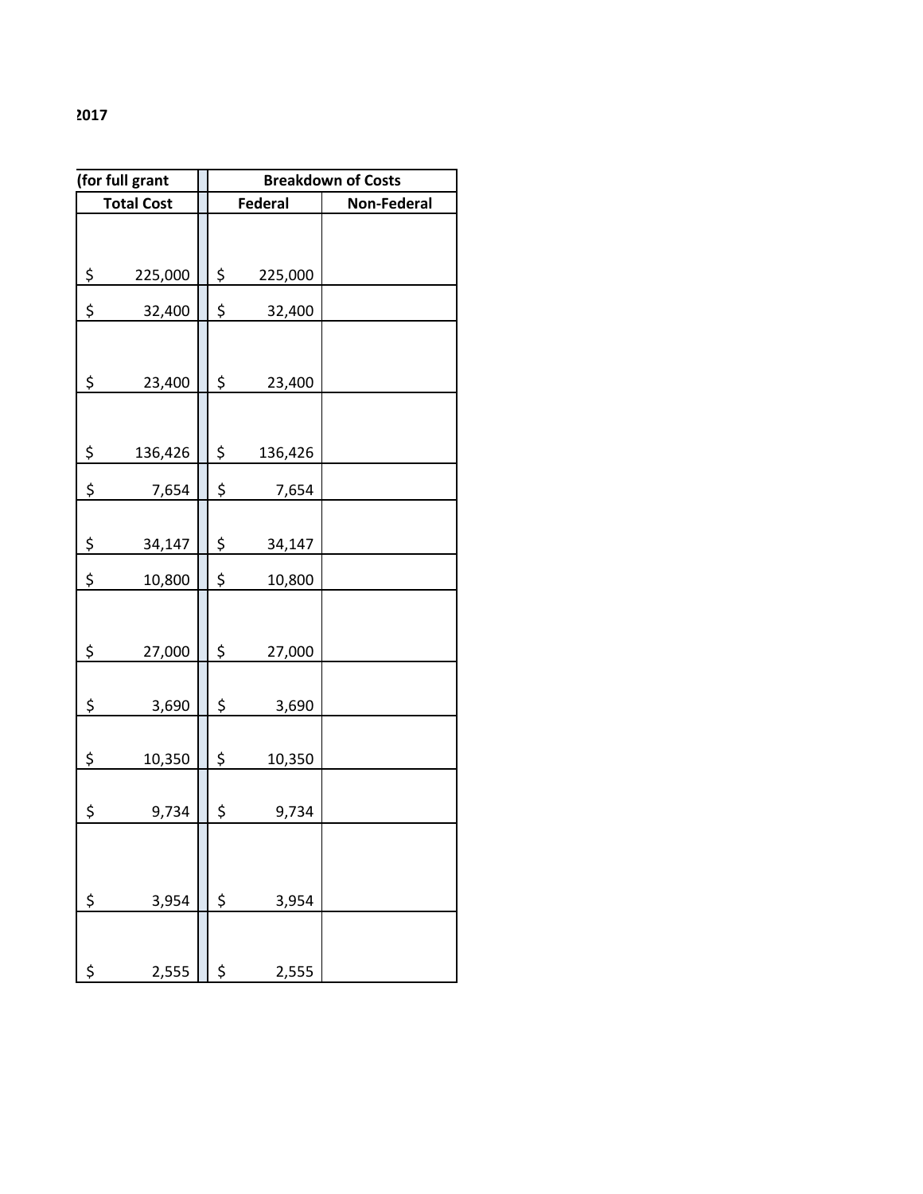|         | (for full grant   | <b>Breakdown of Costs</b> |         |                    |  |  |
|---------|-------------------|---------------------------|---------|--------------------|--|--|
|         | <b>Total Cost</b> |                           | Federal | <b>Non-Federal</b> |  |  |
| \$      | 225,000           | \$                        | 225,000 |                    |  |  |
| \$      | 32,400            | $\zeta$                   | 32,400  |                    |  |  |
|         |                   |                           |         |                    |  |  |
| \$      | 23,400            | $\zeta$                   | 23,400  |                    |  |  |
| $\zeta$ | 136,426           | \$                        | 136,426 |                    |  |  |
| \$      | 7,654             | \$                        | 7,654   |                    |  |  |
| \$      | 34,147            | \$                        | 34,147  |                    |  |  |
| \$      | 10,800            | \$                        | 10,800  |                    |  |  |
| \$      | 27,000            | $\zeta$                   | 27,000  |                    |  |  |
| \$      | 3,690             | \$                        | 3,690   |                    |  |  |
| \$      | 10,350            | \$                        | 10,350  |                    |  |  |
| \$      | 9,734             | \$                        | 9,734   |                    |  |  |
| \$      | 3,954             | \$                        | 3,954   |                    |  |  |
|         |                   |                           |         |                    |  |  |
| \$      | 2,555             | \$                        | 2,555   |                    |  |  |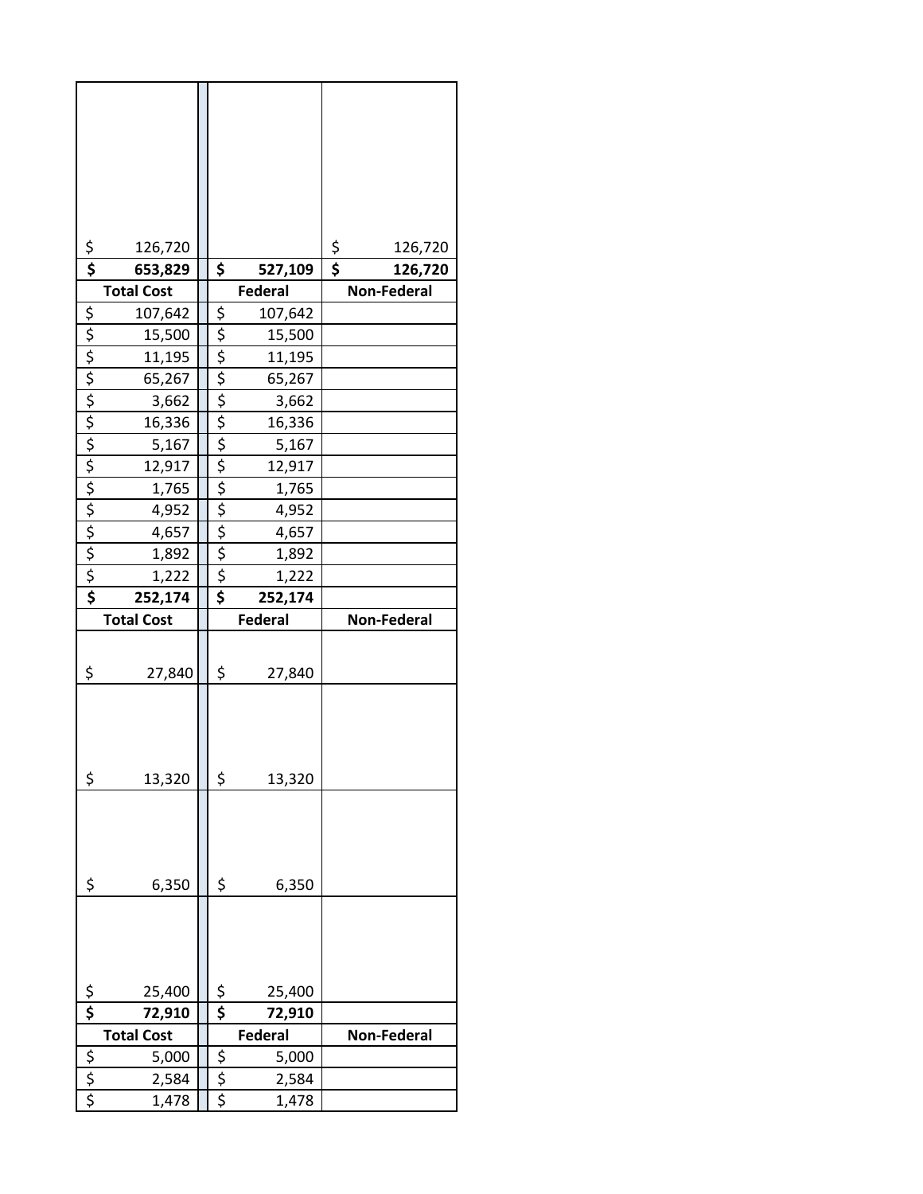| $rac{5}{5}$                        | 126,720                     |             |                          | \$<br>\$<br>126,720 |
|------------------------------------|-----------------------------|-------------|--------------------------|---------------------|
|                                    | 653,829                     | \$          | 527,109                  | 126,720             |
|                                    | <b>Total Cost</b>           |             | <b>Federal</b>           | <b>Non-Federal</b>  |
|                                    | 107,642                     |             | 107,642                  |                     |
|                                    | 15,500                      |             | 15,500                   |                     |
|                                    | 11,195                      |             | 11,195                   |                     |
|                                    | 65,267                      |             | 65,267                   |                     |
| <u>s s s s s s s s s s s s s s</u> | 3,662                       |             | 3,662                    |                     |
|                                    | 16,336                      |             | 16,336                   |                     |
|                                    | 5,167                       |             | 5,167                    |                     |
|                                    | 12,917                      |             | 12,917                   |                     |
|                                    | 1,765<br>4,952              |             | 1,765<br>4,952           |                     |
|                                    | 4,657                       |             | 4,657                    |                     |
|                                    | 1,892                       |             | 1,892                    |                     |
|                                    | 1,222                       |             | 1,222                    |                     |
|                                    | 252,174                     | \$          | 252,174                  |                     |
|                                    |                             |             |                          |                     |
|                                    |                             |             |                          |                     |
|                                    | <b>Total Cost</b>           |             | <b>Federal</b>           | <b>Non-Federal</b>  |
|                                    |                             |             |                          |                     |
| \$                                 | 27,840                      | \$          | 27,840                   |                     |
|                                    |                             |             |                          |                     |
|                                    |                             |             |                          |                     |
|                                    |                             |             |                          |                     |
| \$                                 | 13,320                      | \$          | 13,320                   |                     |
|                                    |                             |             |                          |                     |
|                                    |                             |             |                          |                     |
|                                    |                             |             |                          |                     |
|                                    |                             |             |                          |                     |
| \$                                 | 6,350                       | \$          | 6,350                    |                     |
|                                    |                             |             |                          |                     |
|                                    |                             |             |                          |                     |
|                                    |                             |             |                          |                     |
|                                    |                             |             |                          |                     |
| $\frac{5}{5}$                      | 25,400                      | \$<br>\$    | 25,400                   |                     |
|                                    | 72,910<br><b>Total Cost</b> |             | 72,910<br><b>Federal</b> | <b>Non-Federal</b>  |
|                                    | 5,000                       |             | 5,000                    |                     |
| $rac{5}{5}$                        | 2,584                       | $rac{5}{5}$ | 2,584                    |                     |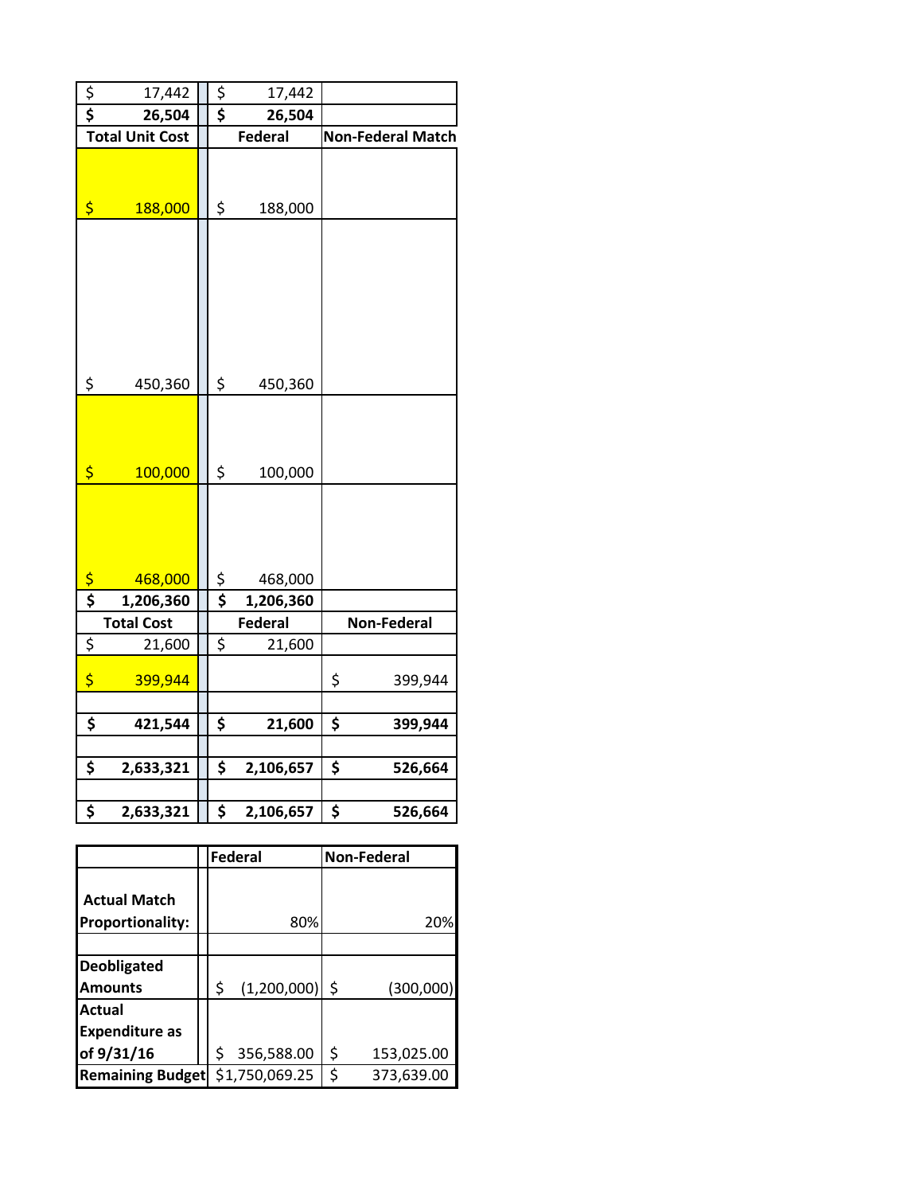| $rac{5}{5}$                     | 17,442                 | \$<br>17,442    |                          |             |  |
|---------------------------------|------------------------|-----------------|--------------------------|-------------|--|
|                                 | 26,504                 | \$<br>26,504    |                          |             |  |
|                                 | <b>Total Unit Cost</b> | <b>Federal</b>  | <b>Non-Federal Match</b> |             |  |
| \$                              | 188,000                | \$<br>188,000   |                          |             |  |
| \$                              | 450,360                | \$<br>450,360   |                          |             |  |
| \$                              | 100,000                | \$<br>100,000   |                          |             |  |
| $\frac{1}{2}$                   | 468,000                | \$<br>468,000   |                          |             |  |
| $\overline{\boldsymbol{\zeta}}$ | 1,206,360              | \$<br>1,206,360 |                          |             |  |
|                                 | <b>Total Cost</b>      | <b>Federal</b>  |                          | Non-Federal |  |
| \$                              | 21,600                 | \$<br>21,600    |                          |             |  |
| \$                              | 399,944                |                 | \$                       | 399,944     |  |
| \$                              | 421,544                | \$<br>21,600    | \$                       | 399,944     |  |
| \$                              | 2,633,321              | \$<br>2,106,657 | \$                       | 526,664     |  |
| \$                              | 2,633,321              | \$<br>2,106,657 | \$                       | 526,664     |  |

|                         |    | Federal        | <b>Non-Federal</b> |
|-------------------------|----|----------------|--------------------|
|                         |    |                |                    |
| <b>Actual Match</b>     |    |                |                    |
| <b>Proportionality:</b> |    | 80%            | 20%                |
|                         |    |                |                    |
| <b>Deobligated</b>      |    |                |                    |
| <b>Amounts</b>          | \$ | (1,200,000)    | \$<br>(300,000)    |
| Actual                  |    |                |                    |
| <b>Expenditure as</b>   |    |                |                    |
| of 9/31/16              | ς  | 356,588.00     | \$<br>153,025.00   |
| <b>Remaining Budget</b> |    | \$1,750,069.25 | \$<br>373,639.00   |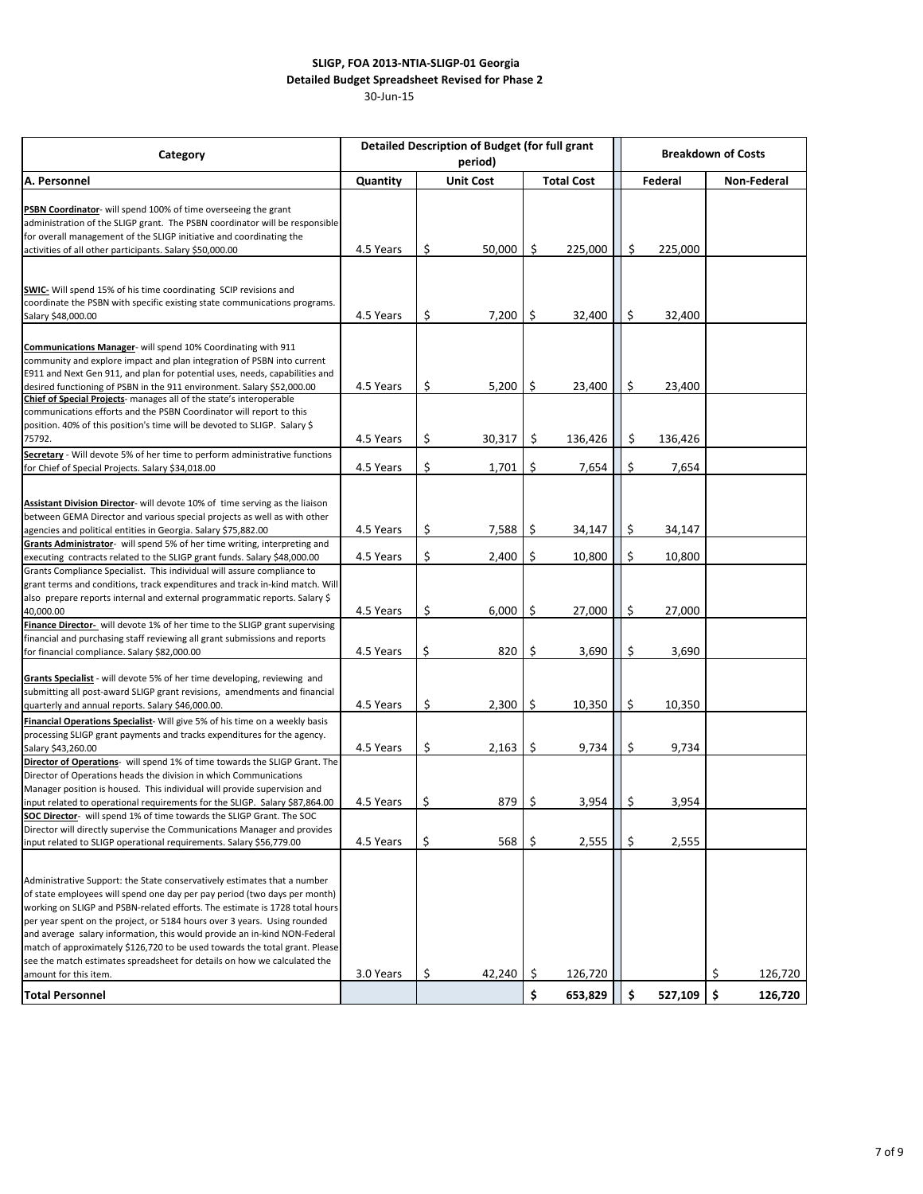## 30-Jun-15  **SLIGP, FOA 2013-NTIA-SLIGP-01 Georgia Detailed Budget Spreadsheet Revised for Phase 2**

| Category                                                                                                                                                                                                                                                                                                                                                                                                                                                                                                                                                                          |                              |    | period)  | <b>Detailed Description of Budget (for full grant</b><br><b>Breakdown of Costs</b> |                   |         |         |    |                    |  |
|-----------------------------------------------------------------------------------------------------------------------------------------------------------------------------------------------------------------------------------------------------------------------------------------------------------------------------------------------------------------------------------------------------------------------------------------------------------------------------------------------------------------------------------------------------------------------------------|------------------------------|----|----------|------------------------------------------------------------------------------------|-------------------|---------|---------|----|--------------------|--|
| A. Personnel                                                                                                                                                                                                                                                                                                                                                                                                                                                                                                                                                                      | <b>Unit Cost</b><br>Quantity |    |          |                                                                                    | <b>Total Cost</b> |         | Federal |    | <b>Non-Federal</b> |  |
| <b>PSBN Coordinator-</b> will spend 100% of time overseeing the grant<br>administration of the SLIGP grant. The PSBN coordinator will be responsible<br>for overall management of the SLIGP initiative and coordinating the<br>activities of all other participants. Salary \$50,000.00                                                                                                                                                                                                                                                                                           | 4.5 Years                    | \$ | 50,000   | \$                                                                                 | 225,000           | \$      | 225,000 |    |                    |  |
| <b>SWIC-</b> Will spend 15% of his time coordinating SCIP revisions and<br>coordinate the PSBN with specific existing state communications programs.<br>Salary \$48,000.00                                                                                                                                                                                                                                                                                                                                                                                                        | 4.5 Years                    | \$ | 7,200    | \$                                                                                 | 32,400            | \$      | 32,400  |    |                    |  |
| Communications Manager- will spend 10% Coordinating with 911<br>community and explore impact and plan integration of PSBN into current<br>E911 and Next Gen 911, and plan for potential uses, needs, capabilities and<br>desired functioning of PSBN in the 911 environment. Salary \$52,000.00<br>Chief of Special Projects- manages all of the state's interoperable<br>communications efforts and the PSBN Coordinator will report to this                                                                                                                                     | 4.5 Years                    | \$ | 5,200    | \$                                                                                 | 23,400            | $\zeta$ | 23,400  |    |                    |  |
| position. 40% of this position's time will be devoted to SLIGP. Salary \$<br>75792.                                                                                                                                                                                                                                                                                                                                                                                                                                                                                               | 4.5 Years                    | \$ | 30,317   | \$                                                                                 | 136,426           | \$      | 136,426 |    |                    |  |
| Secretary - Will devote 5% of her time to perform administrative functions<br>for Chief of Special Projects. Salary \$34,018.00                                                                                                                                                                                                                                                                                                                                                                                                                                                   | 4.5 Years                    | \$ | 1,701    | \$                                                                                 | 7,654             | \$      | 7,654   |    |                    |  |
| Assistant Division Director- will devote 10% of time serving as the liaison<br>between GEMA Director and various special projects as well as with other<br>agencies and political entities in Georgia. Salary \$75,882.00                                                                                                                                                                                                                                                                                                                                                         | 4.5 Years                    | \$ | 7,588    | \$                                                                                 | 34,147            | \$      | 34,147  |    |                    |  |
| Grants Administrator- will spend 5% of her time writing, interpreting and<br>executing contracts related to the SLIGP grant funds. Salary \$48,000.00                                                                                                                                                                                                                                                                                                                                                                                                                             | 4.5 Years                    | \$ | 2,400    | \$                                                                                 | 10,800            | \$      | 10,800  |    |                    |  |
| Grants Compliance Specialist. This individual will assure compliance to<br>grant terms and conditions, track expenditures and track in-kind match. Will<br>also prepare reports internal and external programmatic reports. Salary \$<br>40,000.00                                                                                                                                                                                                                                                                                                                                | 4.5 Years                    | \$ | 6,000    | \$                                                                                 | 27,000            | \$      | 27,000  |    |                    |  |
| Finance Director- will devote 1% of her time to the SLIGP grant supervising<br>financial and purchasing staff reviewing all grant submissions and reports<br>for financial compliance. Salary \$82,000.00                                                                                                                                                                                                                                                                                                                                                                         | 4.5 Years                    | \$ | $820$ \$ |                                                                                    | 3,690             | $\zeta$ | 3,690   |    |                    |  |
| Grants Specialist - will devote 5% of her time developing, reviewing and<br>submitting all post-award SLIGP grant revisions, amendments and financial<br>quarterly and annual reports. Salary \$46,000.00.                                                                                                                                                                                                                                                                                                                                                                        | 4.5 Years                    | \$ | 2,300    | \$                                                                                 | 10,350            | \$      | 10,350  |    |                    |  |
| Financial Operations Specialist- Will give 5% of his time on a weekly basis<br>processing SLIGP grant payments and tracks expenditures for the agency.<br>Salary \$43,260.00                                                                                                                                                                                                                                                                                                                                                                                                      | 4.5 Years                    | \$ | 2,163    | \$                                                                                 | 9,734             | \$      | 9,734   |    |                    |  |
| Director of Operations- will spend 1% of time towards the SLIGP Grant. The<br>Director of Operations heads the division in which Communications<br>Manager position is housed. This individual will provide supervision and<br>input related to operational requirements for the SLIGP. Salary \$87,864.00                                                                                                                                                                                                                                                                        | 4.5 Years                    | \$ | 879      | \$                                                                                 | 3,954             | \$      | 3,954   |    |                    |  |
| SOC Director- will spend 1% of time towards the SLIGP Grant. The SOC<br>Director will directly supervise the Communications Manager and provides<br>input related to SLIGP operational requirements. Salary \$56,779.00                                                                                                                                                                                                                                                                                                                                                           | 4.5 Years                    | \$ | 568      | \$                                                                                 | 2,555             | \$      | 2,555   |    |                    |  |
| Administrative Support: the State conservatively estimates that a number<br>of state employees will spend one day per pay period (two days per month)<br>working on SLIGP and PSBN-related efforts. The estimate is 1728 total hours<br>per year spent on the project, or 5184 hours over 3 years. Using rounded<br>and average salary information, this would provide an in-kind NON-Federal<br>match of approximately \$126,720 to be used towards the total grant. Please<br>see the match estimates spreadsheet for details on how we calculated the<br>amount for this item. | 3.0 Years                    | \$ | 42,240   | \$                                                                                 | 126,720           |         |         | \$ | 126,720            |  |
| <b>Total Personnel</b>                                                                                                                                                                                                                                                                                                                                                                                                                                                                                                                                                            |                              |    |          | \$                                                                                 | 653,829           | \$      | 527,109 | \$ | 126,720            |  |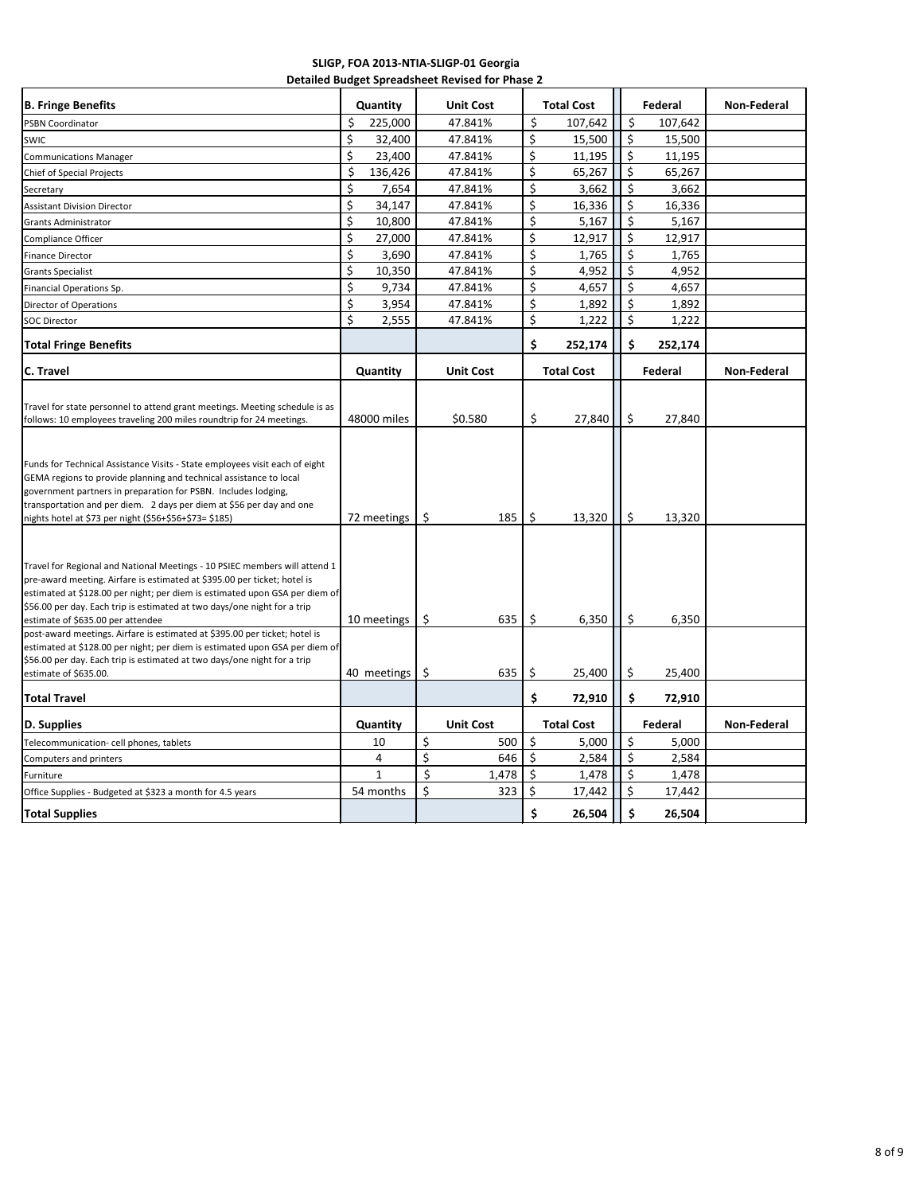## **SLIGP, FOA 2013-NTIA-SLIGP-01 Georgia Detailed Budget Spreadsheet Revised for Phase 2**

| <b>B. Fringe Benefits</b>                                                                                                                                                                                                                                                                                                                                                                                                            | Quantity      | <b>Unit Cost</b> |       |    | <b>Total Cost</b> |         | Federal | Non-Federal        |
|--------------------------------------------------------------------------------------------------------------------------------------------------------------------------------------------------------------------------------------------------------------------------------------------------------------------------------------------------------------------------------------------------------------------------------------|---------------|------------------|-------|----|-------------------|---------|---------|--------------------|
| <b>PSBN Coordinator</b>                                                                                                                                                                                                                                                                                                                                                                                                              | \$<br>225,000 | 47.841%          |       | \$ | 107,642           | \$      | 107,642 |                    |
| <b>SWIC</b>                                                                                                                                                                                                                                                                                                                                                                                                                          | \$<br>32,400  | 47.841%          |       | \$ | 15,500            | \$      | 15,500  |                    |
| <b>Communications Manager</b>                                                                                                                                                                                                                                                                                                                                                                                                        | \$<br>23,400  | 47.841%          |       | \$ | 11,195            | \$      | 11,195  |                    |
| <b>Chief of Special Projects</b>                                                                                                                                                                                                                                                                                                                                                                                                     | \$<br>136,426 | 47.841%          |       | \$ | 65,267            | \$      | 65,267  |                    |
| Secretary                                                                                                                                                                                                                                                                                                                                                                                                                            | \$<br>7,654   | 47.841%          |       | \$ | 3,662             | \$      | 3,662   |                    |
| <b>Assistant Division Director</b>                                                                                                                                                                                                                                                                                                                                                                                                   | \$<br>34,147  | 47.841%          |       | \$ | 16,336            | \$      | 16,336  |                    |
| <b>Grants Administrator</b>                                                                                                                                                                                                                                                                                                                                                                                                          | \$<br>10,800  | 47.841%          |       | \$ | 5,167             | \$      | 5,167   |                    |
| Compliance Officer                                                                                                                                                                                                                                                                                                                                                                                                                   | \$<br>27,000  | 47.841%          |       | \$ | 12,917            | \$      | 12,917  |                    |
| <b>Finance Director</b>                                                                                                                                                                                                                                                                                                                                                                                                              | \$<br>3,690   | 47.841%          |       | \$ | 1,765             | \$      | 1,765   |                    |
| <b>Grants Specialist</b>                                                                                                                                                                                                                                                                                                                                                                                                             | \$<br>10,350  | 47.841%          |       | \$ | 4,952             | \$      | 4,952   |                    |
| Financial Operations Sp.                                                                                                                                                                                                                                                                                                                                                                                                             | \$<br>9,734   | 47.841%          |       | \$ | 4,657             | \$      | 4,657   |                    |
| Director of Operations                                                                                                                                                                                                                                                                                                                                                                                                               | \$<br>3,954   | 47.841%          |       | \$ | 1,892             | \$      | 1,892   |                    |
| <b>SOC Director</b>                                                                                                                                                                                                                                                                                                                                                                                                                  | \$<br>2,555   | 47.841%          |       | \$ | 1,222             | \$      | 1,222   |                    |
|                                                                                                                                                                                                                                                                                                                                                                                                                                      |               |                  |       |    |                   |         |         |                    |
| <b>Total Fringe Benefits</b>                                                                                                                                                                                                                                                                                                                                                                                                         |               |                  |       | \$ | 252,174           | \$      | 252,174 |                    |
| C. Travel                                                                                                                                                                                                                                                                                                                                                                                                                            | Quantity      | <b>Unit Cost</b> |       |    | <b>Total Cost</b> |         | Federal | <b>Non-Federal</b> |
|                                                                                                                                                                                                                                                                                                                                                                                                                                      |               |                  |       |    |                   |         |         |                    |
| Travel for state personnel to attend grant meetings. Meeting schedule is as                                                                                                                                                                                                                                                                                                                                                          | 48000 miles   | \$0.580          |       | \$ | 27,840            | \$      | 27,840  |                    |
| follows: 10 employees traveling 200 miles roundtrip for 24 meetings.                                                                                                                                                                                                                                                                                                                                                                 |               |                  |       |    |                   |         |         |                    |
| Funds for Technical Assistance Visits - State employees visit each of eight<br>GEMA regions to provide planning and technical assistance to local<br>government partners in preparation for PSBN. Includes lodging,<br>transportation and per diem. 2 days per diem at \$56 per day and one<br>nights hotel at \$73 per night (\$56+\$56+\$73= \$185)                                                                                | 72 meetings   | \$               | 185   | \$ | 13,320            | \$      | 13,320  |                    |
| Travel for Regional and National Meetings - 10 PSIEC members will attend 1<br>pre-award meeting. Airfare is estimated at \$395.00 per ticket; hotel is<br>estimated at \$128.00 per night; per diem is estimated upon GSA per diem of<br>\$56.00 per day. Each trip is estimated at two days/one night for a trip<br>estimate of \$635.00 per attendee<br>post-award meetings. Airfare is estimated at \$395.00 per ticket; hotel is | 10 meetings   | \$               | 635   | \$ | 6,350             | \$      | 6,350   |                    |
| estimated at \$128.00 per night; per diem is estimated upon GSA per diem of<br>\$56.00 per day. Each trip is estimated at two days/one night for a trip<br>estimate of \$635.00.                                                                                                                                                                                                                                                     | 40 meetings   | \$               | 635   | \$ | 25,400            | \$      | 25,400  |                    |
| <b>Total Travel</b>                                                                                                                                                                                                                                                                                                                                                                                                                  |               |                  |       | \$ | 72,910            | \$      | 72,910  |                    |
| <b>D. Supplies</b>                                                                                                                                                                                                                                                                                                                                                                                                                   | Quantity      | <b>Unit Cost</b> |       |    | <b>Total Cost</b> |         | Federal | <b>Non-Federal</b> |
| Telecommunication- cell phones, tablets                                                                                                                                                                                                                                                                                                                                                                                              | 10            | \$               | 500   | \$ | 5,000             | $\zeta$ | 5,000   |                    |
| Computers and printers                                                                                                                                                                                                                                                                                                                                                                                                               | 4             | \$               | 646   | S  | 2,584             | \$      | 2,584   |                    |
| Furniture                                                                                                                                                                                                                                                                                                                                                                                                                            | $\mathbf{1}$  | \$               | 1,478 | \$ | 1,478             | \$      | 1,478   |                    |
| Office Supplies - Budgeted at \$323 a month for 4.5 years                                                                                                                                                                                                                                                                                                                                                                            | 54 months     | \$               | 323   | \$ | 17,442            | \$      | 17,442  |                    |
| <b>Total Supplies</b>                                                                                                                                                                                                                                                                                                                                                                                                                |               |                  |       | \$ | 26,504            | \$      | 26,504  |                    |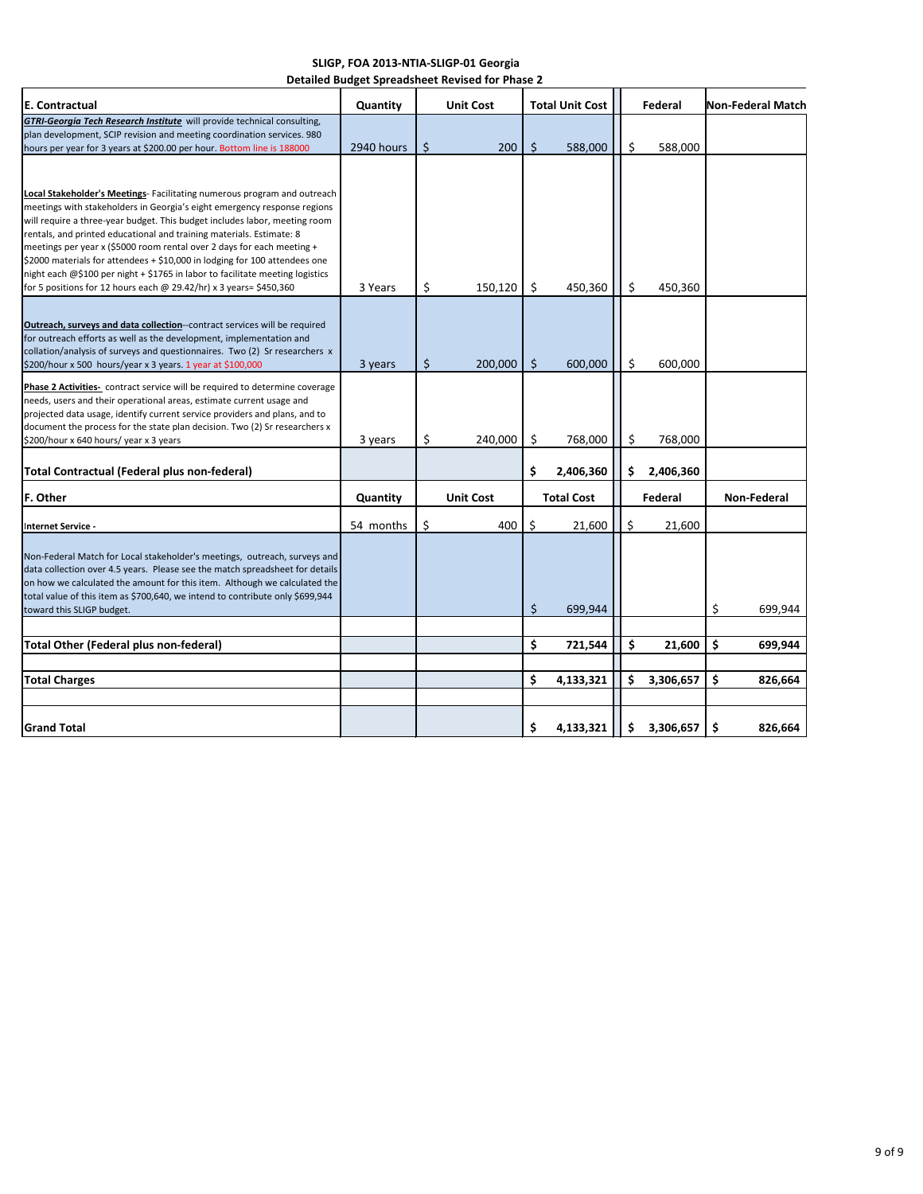| SLIGP, FOA 2013-NTIA-SLIGP-01 Georgia           |
|-------------------------------------------------|
| Detailed Budget Spreadsheet Revised for Phase 2 |

| E. Contractual                                                                                                                                                                                                                                                                                                                                                                                                                                                                                                                                                                                                            | Quantity   | <b>Unit Cost</b> | <b>Total Unit Cost</b> |                   | Federal |           | Non-Federal Match |             |
|---------------------------------------------------------------------------------------------------------------------------------------------------------------------------------------------------------------------------------------------------------------------------------------------------------------------------------------------------------------------------------------------------------------------------------------------------------------------------------------------------------------------------------------------------------------------------------------------------------------------------|------------|------------------|------------------------|-------------------|---------|-----------|-------------------|-------------|
| <b>GTRI-Georgia Tech Research Institute</b> will provide technical consulting,<br>plan development, SCIP revision and meeting coordination services. 980<br>hours per year for 3 years at \$200.00 per hour. Bottom line is 188000                                                                                                                                                                                                                                                                                                                                                                                        | 2940 hours | \$<br>200        | \$                     | 588,000           | \$      | 588,000   |                   |             |
|                                                                                                                                                                                                                                                                                                                                                                                                                                                                                                                                                                                                                           |            |                  |                        |                   |         |           |                   |             |
| Local Stakeholder's Meetings- Facilitating numerous program and outreach<br>meetings with stakeholders in Georgia's eight emergency response regions<br>will require a three-year budget. This budget includes labor, meeting room<br>rentals, and printed educational and training materials. Estimate: 8<br>meetings per year x (\$5000 room rental over 2 days for each meeting +<br>\$2000 materials for attendees + \$10,000 in lodging for 100 attendees one<br>night each @\$100 per night + \$1765 in labor to facilitate meeting logistics<br>for 5 positions for 12 hours each @ 29.42/hr) x 3 years= \$450,360 | 3 Years    | \$<br>150,120    | \$                     | 450,360           | \$      | 450,360   |                   |             |
| Outreach, surveys and data collection--contract services will be required<br>for outreach efforts as well as the development, implementation and<br>collation/analysis of surveys and questionnaires. Two (2) Sr researchers x                                                                                                                                                                                                                                                                                                                                                                                            |            |                  |                        |                   |         |           |                   |             |
| \$200/hour x 500 hours/year x 3 years. 1 year at \$100,000                                                                                                                                                                                                                                                                                                                                                                                                                                                                                                                                                                | 3 years    | \$<br>200,000    | $\zeta$                | 600,000           | \$      | 600,000   |                   |             |
| Phase 2 Activities- contract service will be required to determine coverage<br>needs, users and their operational areas, estimate current usage and<br>projected data usage, identify current service providers and plans, and to<br>document the process for the state plan decision. Two (2) Sr researchers x<br>\$200/hour x 640 hours/ year x 3 years                                                                                                                                                                                                                                                                 | 3 years    | \$<br>240,000    | \$                     | 768,000           | \$      | 768,000   |                   |             |
| <b>Total Contractual (Federal plus non-federal)</b>                                                                                                                                                                                                                                                                                                                                                                                                                                                                                                                                                                       |            |                  | \$                     | 2,406,360         | \$      | 2,406,360 |                   |             |
| F. Other                                                                                                                                                                                                                                                                                                                                                                                                                                                                                                                                                                                                                  | Quantity   | <b>Unit Cost</b> |                        | <b>Total Cost</b> | Federal |           |                   | Non-Federal |
| Internet Service -                                                                                                                                                                                                                                                                                                                                                                                                                                                                                                                                                                                                        | 54 months  | \$<br>400        | \$                     | 21,600            | \$      | 21,600    |                   |             |
| Non-Federal Match for Local stakeholder's meetings, outreach, surveys and<br>data collection over 4.5 years. Please see the match spreadsheet for details<br>on how we calculated the amount for this item. Although we calculated the<br>total value of this item as \$700,640, we intend to contribute only \$699,944                                                                                                                                                                                                                                                                                                   |            |                  |                        |                   |         |           |                   |             |
| toward this SLIGP budget.                                                                                                                                                                                                                                                                                                                                                                                                                                                                                                                                                                                                 |            |                  | \$                     | 699,944           |         |           | \$                | 699,944     |
| <b>Total Other (Federal plus non-federal)</b>                                                                                                                                                                                                                                                                                                                                                                                                                                                                                                                                                                             |            |                  | \$                     | 721,544           | \$      | 21,600    | \$                | 699,944     |
| <b>Total Charges</b>                                                                                                                                                                                                                                                                                                                                                                                                                                                                                                                                                                                                      |            |                  | \$                     | 4,133,321         | \$      | 3,306,657 | \$                | 826,664     |
| <b>Grand Total</b>                                                                                                                                                                                                                                                                                                                                                                                                                                                                                                                                                                                                        |            |                  | \$                     | 4,133,321         | \$      | 3,306,657 | \$                | 826,664     |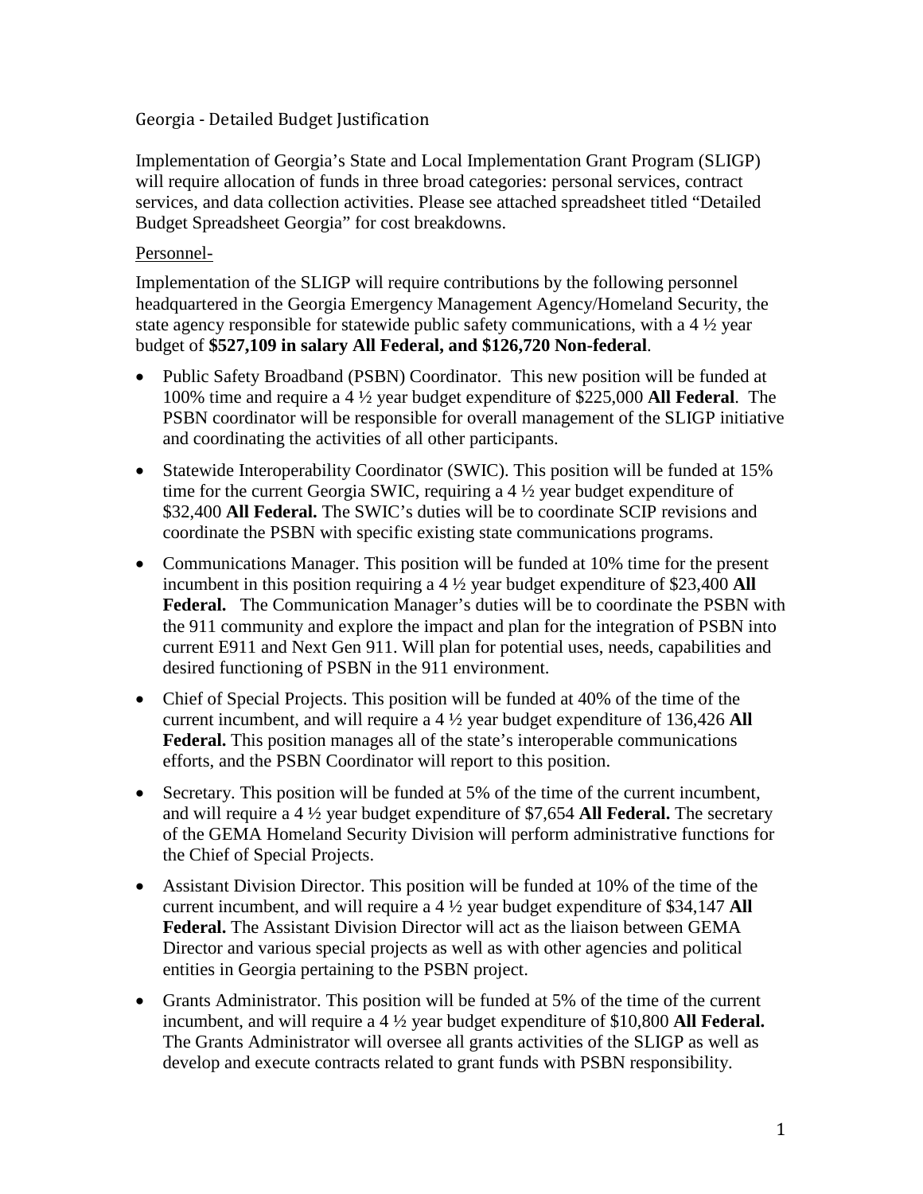## Georgia - Detailed Budget Justification

Implementation of Georgia's State and Local Implementation Grant Program (SLIGP) will require allocation of funds in three broad categories: personal services, contract services, and data collection activities. Please see attached spreadsheet titled "Detailed Budget Spreadsheet Georgia" for cost breakdowns.

#### Personnel-

Implementation of the SLIGP will require contributions by the following personnel headquartered in the Georgia Emergency Management Agency/Homeland Security, the state agency responsible for statewide public safety communications, with a 4 ½ year budget of **\$527,109 in salary All Federal, and \$126,720 Non-federal**.

- Public Safety Broadband (PSBN) Coordinator. This new position will be funded at 100% time and require a 4 ½ year budget expenditure of \$225,000 **All Federal**. The PSBN coordinator will be responsible for overall management of the SLIGP initiative and coordinating the activities of all other participants.
- Statewide Interoperability Coordinator (SWIC). This position will be funded at 15% time for the current Georgia SWIC, requiring a 4 ½ year budget expenditure of \$32,400 **All Federal.** The SWIC's duties will be to coordinate SCIP revisions and coordinate the PSBN with specific existing state communications programs.
- Communications Manager. This position will be funded at 10% time for the present incumbent in this position requiring a 4 ½ year budget expenditure of \$23,400 **All Federal.** The Communication Manager's duties will be to coordinate the PSBN with the 911 community and explore the impact and plan for the integration of PSBN into current E911 and Next Gen 911. Will plan for potential uses, needs, capabilities and desired functioning of PSBN in the 911 environment.
- Chief of Special Projects. This position will be funded at 40% of the time of the current incumbent, and will require a 4 ½ year budget expenditure of 136,426 **All Federal.** This position manages all of the state's interoperable communications efforts, and the PSBN Coordinator will report to this position.
- Secretary. This position will be funded at 5% of the time of the current incumbent, and will require a 4 ½ year budget expenditure of \$7,654 **All Federal.** The secretary of the GEMA Homeland Security Division will perform administrative functions for the Chief of Special Projects.
- Assistant Division Director. This position will be funded at 10% of the time of the current incumbent, and will require a 4 ½ year budget expenditure of \$34,147 **All Federal.** The Assistant Division Director will act as the liaison between GEMA Director and various special projects as well as with other agencies and political entities in Georgia pertaining to the PSBN project.
- Grants Administrator. This position will be funded at 5% of the time of the current incumbent, and will require a 4 ½ year budget expenditure of \$10,800 **All Federal.** The Grants Administrator will oversee all grants activities of the SLIGP as well as develop and execute contracts related to grant funds with PSBN responsibility.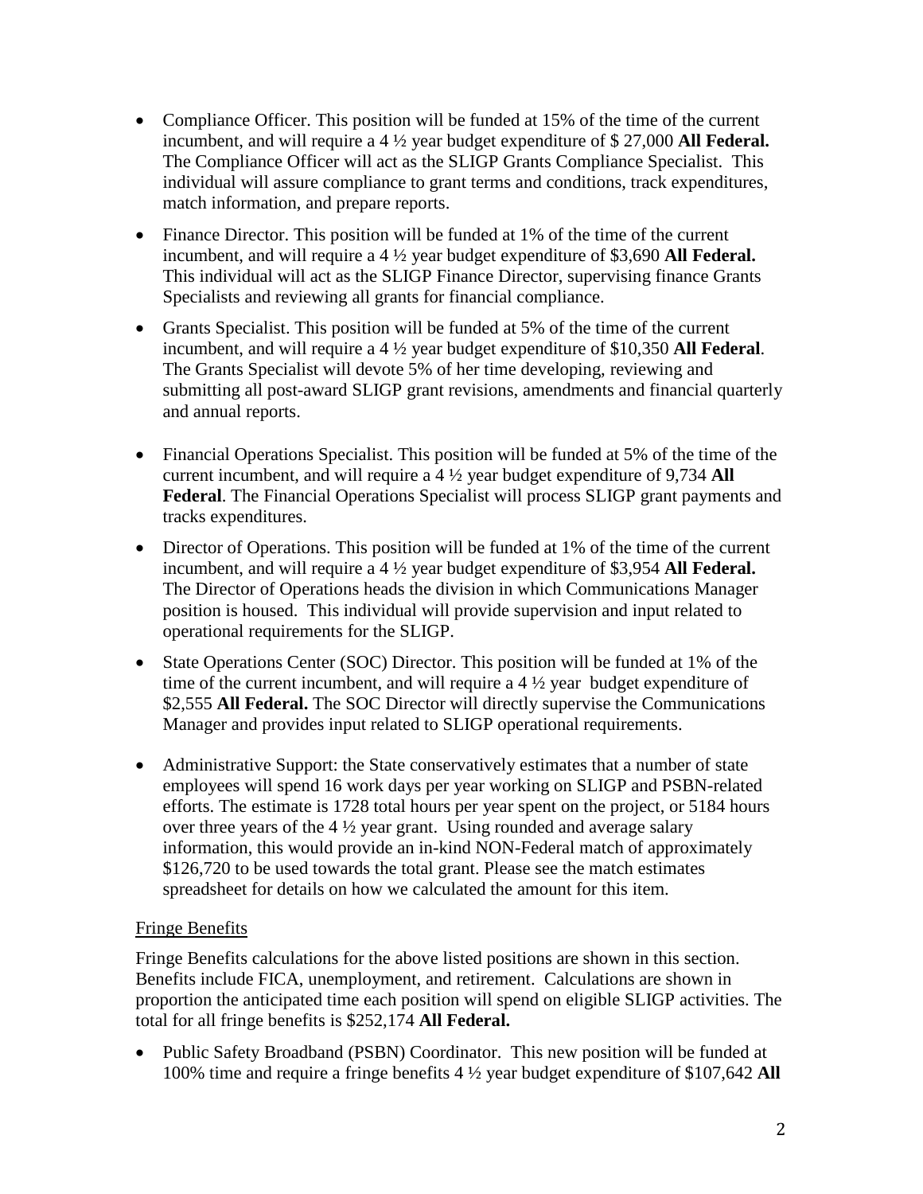- Compliance Officer. This position will be funded at 15% of the time of the current incumbent, and will require a 4 ½ year budget expenditure of \$ 27,000 **All Federal.** The Compliance Officer will act as the SLIGP Grants Compliance Specialist. This individual will assure compliance to grant terms and conditions, track expenditures, match information, and prepare reports.
- Finance Director. This position will be funded at 1% of the time of the current incumbent, and will require a 4 ½ year budget expenditure of \$3,690 **All Federal.** This individual will act as the SLIGP Finance Director, supervising finance Grants Specialists and reviewing all grants for financial compliance.
- Grants Specialist. This position will be funded at 5% of the time of the current incumbent, and will require a 4 ½ year budget expenditure of \$10,350 **All Federal**. The Grants Specialist will devote 5% of her time developing, reviewing and submitting all post-award SLIGP grant revisions, amendments and financial quarterly and annual reports.
- Financial Operations Specialist. This position will be funded at 5% of the time of the current incumbent, and will require a 4 ½ year budget expenditure of 9,734 **All Federal**. The Financial Operations Specialist will process SLIGP grant payments and tracks expenditures.
- Director of Operations. This position will be funded at 1% of the time of the current incumbent, and will require a 4 ½ year budget expenditure of \$3,954 **All Federal.** The Director of Operations heads the division in which Communications Manager position is housed. This individual will provide supervision and input related to operational requirements for the SLIGP.
- State Operations Center (SOC) Director. This position will be funded at 1% of the time of the current incumbent, and will require a 4 ½ year budget expenditure of \$2,555 **All Federal.** The SOC Director will directly supervise the Communications Manager and provides input related to SLIGP operational requirements.
- Administrative Support: the State conservatively estimates that a number of state employees will spend 16 work days per year working on SLIGP and PSBN-related efforts. The estimate is 1728 total hours per year spent on the project, or 5184 hours over three years of the 4 ½ year grant. Using rounded and average salary information, this would provide an in-kind NON-Federal match of approximately \$126,720 to be used towards the total grant. Please see the match estimates spreadsheet for details on how we calculated the amount for this item.

## Fringe Benefits

Fringe Benefits calculations for the above listed positions are shown in this section. Benefits include FICA, unemployment, and retirement. Calculations are shown in proportion the anticipated time each position will spend on eligible SLIGP activities. The total for all fringe benefits is \$252,174 **All Federal.**

• Public Safety Broadband (PSBN) Coordinator. This new position will be funded at 100% time and require a fringe benefits 4 ½ year budget expenditure of \$107,642 **All**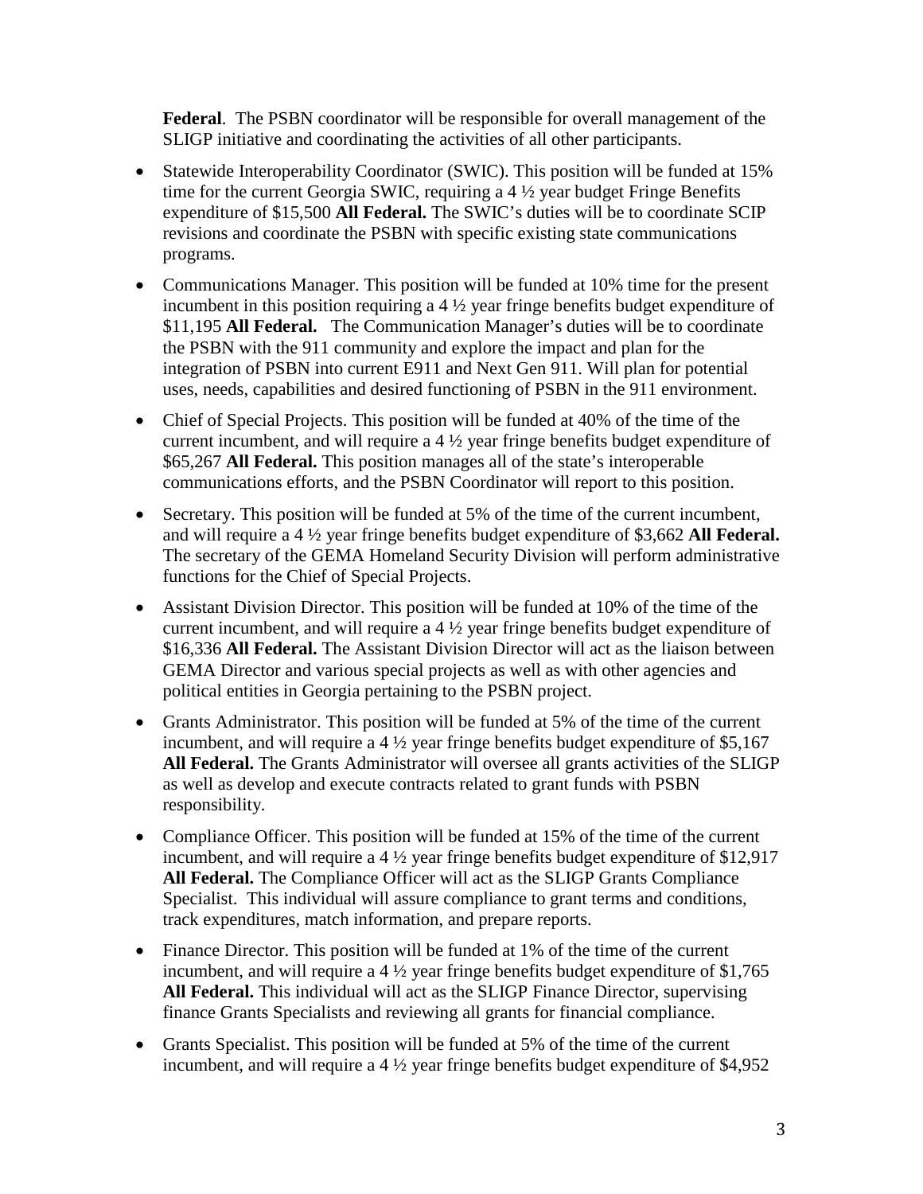**Federal**. The PSBN coordinator will be responsible for overall management of the SLIGP initiative and coordinating the activities of all other participants.

- Statewide Interoperability Coordinator (SWIC). This position will be funded at 15% time for the current Georgia SWIC, requiring a 4 ½ year budget Fringe Benefits expenditure of \$15,500 **All Federal.** The SWIC's duties will be to coordinate SCIP revisions and coordinate the PSBN with specific existing state communications programs.
- Communications Manager. This position will be funded at 10% time for the present incumbent in this position requiring a 4 ½ year fringe benefits budget expenditure of \$11,195 **All Federal.** The Communication Manager's duties will be to coordinate the PSBN with the 911 community and explore the impact and plan for the integration of PSBN into current E911 and Next Gen 911. Will plan for potential uses, needs, capabilities and desired functioning of PSBN in the 911 environment.
- Chief of Special Projects. This position will be funded at 40% of the time of the current incumbent, and will require a 4 ½ year fringe benefits budget expenditure of \$65,267 **All Federal.** This position manages all of the state's interoperable communications efforts, and the PSBN Coordinator will report to this position.
- Secretary. This position will be funded at 5% of the time of the current incumbent, and will require a 4 ½ year fringe benefits budget expenditure of \$3,662 **All Federal.** The secretary of the GEMA Homeland Security Division will perform administrative functions for the Chief of Special Projects.
- Assistant Division Director. This position will be funded at 10% of the time of the current incumbent, and will require a 4 ½ year fringe benefits budget expenditure of \$16,336 **All Federal.** The Assistant Division Director will act as the liaison between GEMA Director and various special projects as well as with other agencies and political entities in Georgia pertaining to the PSBN project.
- Grants Administrator. This position will be funded at 5% of the time of the current incumbent, and will require a 4 ½ year fringe benefits budget expenditure of \$5,167 **All Federal.** The Grants Administrator will oversee all grants activities of the SLIGP as well as develop and execute contracts related to grant funds with PSBN responsibility.
- Compliance Officer. This position will be funded at 15% of the time of the current incumbent, and will require a 4 ½ year fringe benefits budget expenditure of \$12,917 **All Federal.** The Compliance Officer will act as the SLIGP Grants Compliance Specialist. This individual will assure compliance to grant terms and conditions, track expenditures, match information, and prepare reports.
- Finance Director. This position will be funded at 1% of the time of the current incumbent, and will require a 4 ½ year fringe benefits budget expenditure of \$1,765 **All Federal.** This individual will act as the SLIGP Finance Director, supervising finance Grants Specialists and reviewing all grants for financial compliance.
- Grants Specialist. This position will be funded at 5% of the time of the current incumbent, and will require a 4 ½ year fringe benefits budget expenditure of \$4,952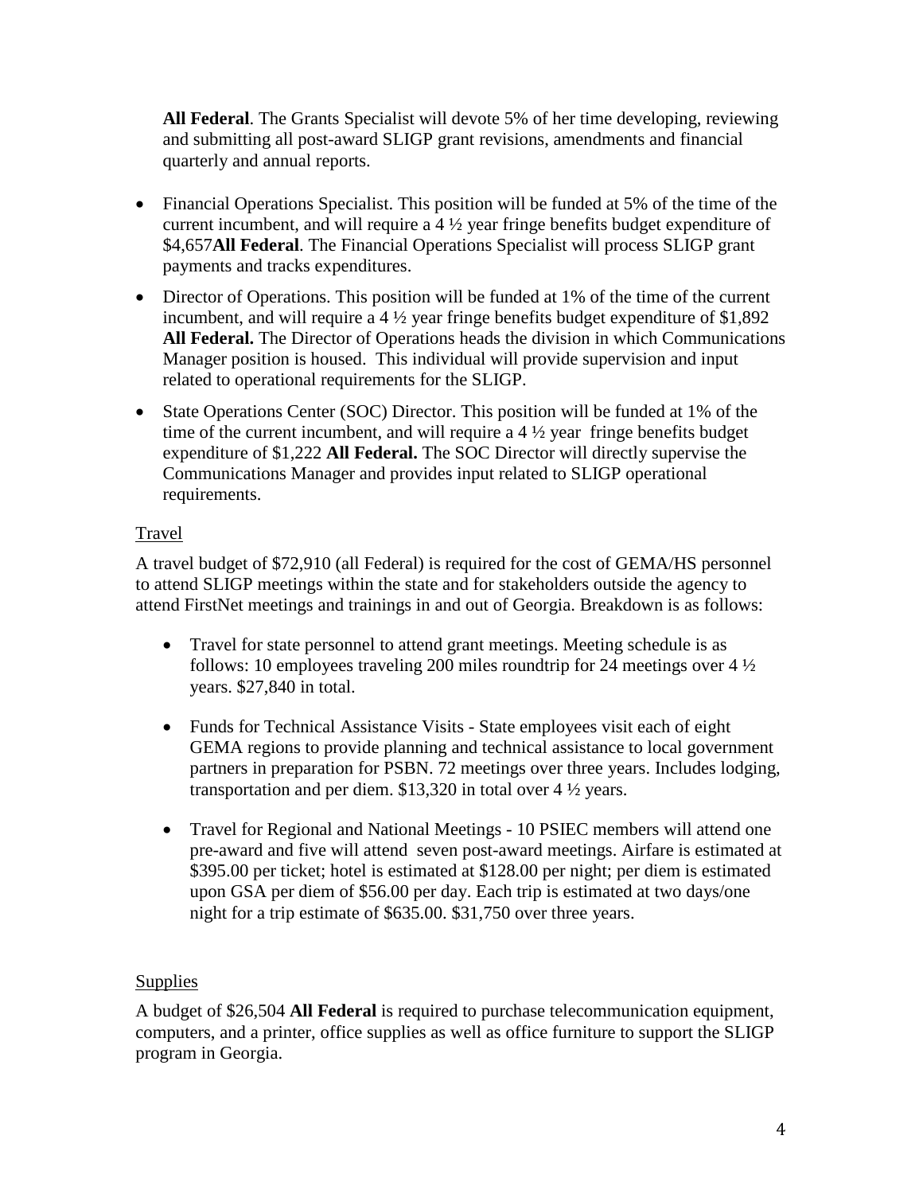**All Federal**. The Grants Specialist will devote 5% of her time developing, reviewing and submitting all post-award SLIGP grant revisions, amendments and financial quarterly and annual reports.

- Financial Operations Specialist. This position will be funded at 5% of the time of the current incumbent, and will require a 4 ½ year fringe benefits budget expenditure of \$4,657**All Federal**. The Financial Operations Specialist will process SLIGP grant payments and tracks expenditures.
- Director of Operations. This position will be funded at 1% of the time of the current incumbent, and will require a 4 ½ year fringe benefits budget expenditure of \$1,892 **All Federal.** The Director of Operations heads the division in which Communications Manager position is housed. This individual will provide supervision and input related to operational requirements for the SLIGP.
- State Operations Center (SOC) Director. This position will be funded at 1% of the time of the current incumbent, and will require a 4 ½ year fringe benefits budget expenditure of \$1,222 **All Federal.** The SOC Director will directly supervise the Communications Manager and provides input related to SLIGP operational requirements.

# Travel

A travel budget of \$72,910 (all Federal) is required for the cost of GEMA/HS personnel to attend SLIGP meetings within the state and for stakeholders outside the agency to attend FirstNet meetings and trainings in and out of Georgia. Breakdown is as follows:

- Travel for state personnel to attend grant meetings. Meeting schedule is as follows: 10 employees traveling 200 miles roundtrip for 24 meetings over 4 ½ years. \$27,840 in total.
- Funds for Technical Assistance Visits State employees visit each of eight GEMA regions to provide planning and technical assistance to local government partners in preparation for PSBN. 72 meetings over three years. Includes lodging, transportation and per diem. \$13,320 in total over 4 ½ years.
- Travel for Regional and National Meetings 10 PSIEC members will attend one pre-award and five will attend seven post-award meetings. Airfare is estimated at \$395.00 per ticket; hotel is estimated at \$128.00 per night; per diem is estimated upon GSA per diem of \$56.00 per day. Each trip is estimated at two days/one night for a trip estimate of \$635.00. \$31,750 over three years.

# **Supplies**

A budget of \$26,504 **All Federal** is required to purchase telecommunication equipment, computers, and a printer, office supplies as well as office furniture to support the SLIGP program in Georgia.